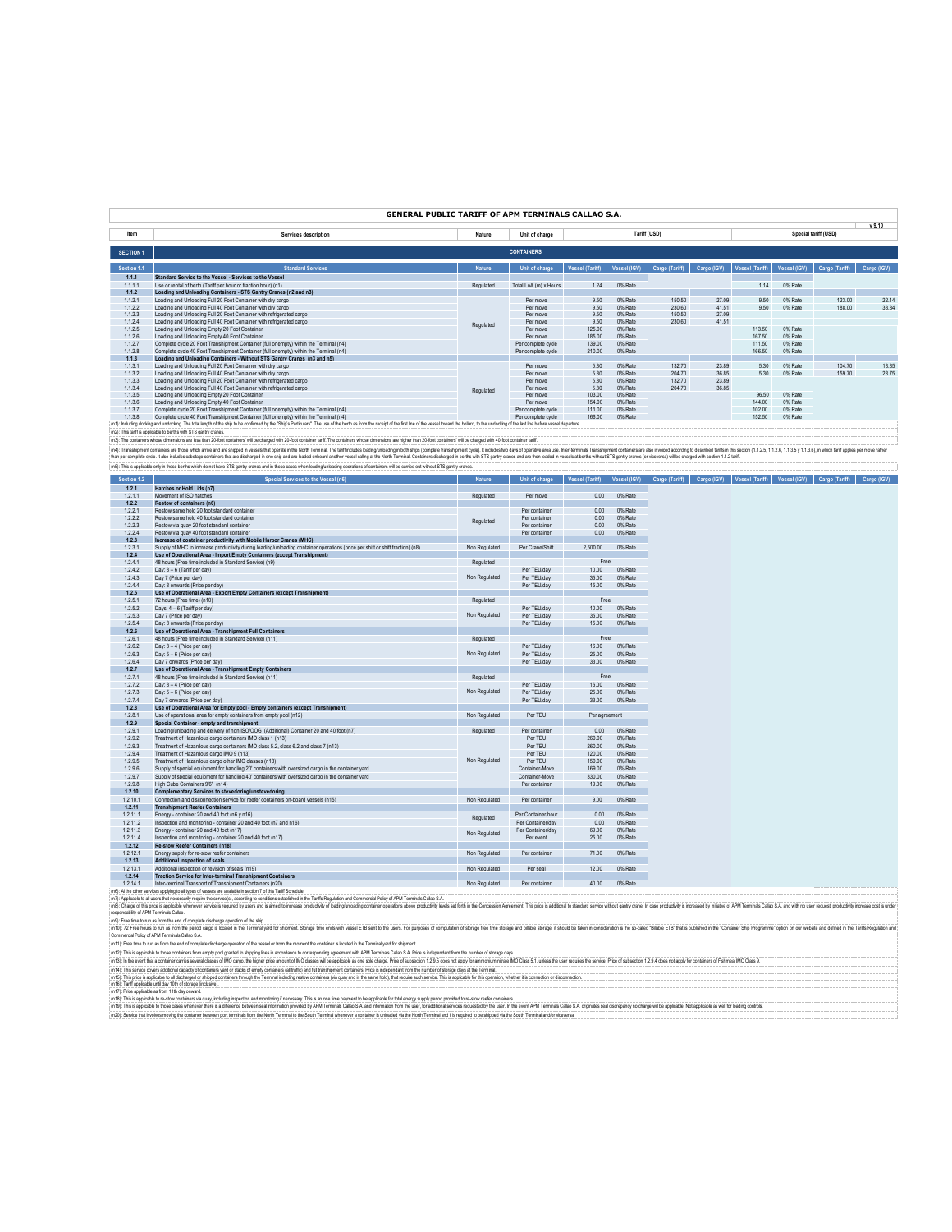# **GENERAL PUBLIC TARIFF OF APM TERMINALS CALLAO S.A.**

|                  |                                                                                                                                                                                                                               |               |                       |                 |              |                |             |                 |              |                      | v 9.10      |
|------------------|-------------------------------------------------------------------------------------------------------------------------------------------------------------------------------------------------------------------------------|---------------|-----------------------|-----------------|--------------|----------------|-------------|-----------------|--------------|----------------------|-------------|
| Item             | Services description                                                                                                                                                                                                          | Nature        | Unit of charge        |                 |              | Tariff (USD)   |             |                 |              | Special tariff (USD) |             |
|                  |                                                                                                                                                                                                                               |               |                       |                 |              |                |             |                 |              |                      |             |
| <b>SECTION 1</b> |                                                                                                                                                                                                                               |               | <b>CONTAINERS</b>     |                 |              |                |             |                 |              |                      |             |
| Section 1.1      | <b>Standard Services</b>                                                                                                                                                                                                      | <b>Nature</b> | Unit of charge        | Vessel (Tariff) | Vessel (IGV) | Cargo (Tariff) | Cargo (IGV) | Vessel (Tariff) | Vessel (IGV) | Cargo (Tariff)       | Cargo (IGV) |
| 1.1.1            | Standard Service to the Vessel - Services to the Vessel                                                                                                                                                                       |               |                       |                 |              |                |             |                 |              |                      |             |
| 1.1.1.1          | Use or rental of berth (Tariff per hour or fraction hour) (n1)                                                                                                                                                                | Regulated     | Total LoA (m) x Hours | 1.24            | 0% Rate      |                |             | 1.14            | 0% Rate      |                      |             |
| 1.1.2            | Loading and Unloading Containers - STS Gantry Cranes (n2 and n3)                                                                                                                                                              |               |                       |                 |              |                |             |                 |              |                      |             |
| 1.12.1           | Loading and Unloading Full 20 Foot Container with dry cargo                                                                                                                                                                   |               | Per move              | 9.50            | 0% Rate      | 150.50         | 27.09       | 9.50            | 0% Rate      | 123.00               | 22.14       |
| 1.122            | Loading and Unloading Full 40 Foot Container with dry cargo                                                                                                                                                                   |               | Per move              | 9.50            | 0% Rate      | 230.60         | 41.51       | 9.50            | 0% Rate      | 188.00               | 33.84       |
| 1.123            | Loading and Unloading Full 20 Foot Container with refrigerated cargo                                                                                                                                                          |               | Per move              | 9.50            | 0% Rate      | 150.50         | 27.09       |                 |              |                      |             |
| 1.12.4           | Loading and Unloading Full 40 Foot Container with refrigerated cargo                                                                                                                                                          | Regulated     | Per move              | 9.50            | 0% Rate      | 230.60         | 41.51       |                 |              |                      |             |
| 1.12.5           | Loading and Unloading Empty 20 Foot Container                                                                                                                                                                                 |               | Per move              | 125.00          | 0% Rate      |                |             | 113.50          | 0% Rate      |                      |             |
| 1.12.6           | Loading and Unloading Empty 40 Epot Container                                                                                                                                                                                 |               | Per move              | 185.00          | 0% Rate      |                |             | 167.50          | 0% Rate      |                      |             |
| 1.12.7           | Complete cycle 20 Foot Transhipment Container (full or empty) within the Terminal (n4)                                                                                                                                        |               | Per complete cycle    | 139.00          | 0% Rate      |                |             | 111.50          | 0% Rate      |                      |             |
| 1.12.8           | Complete cycle 40 Foot Transhipment Container (full or empty) within the Terminal (n4)                                                                                                                                        |               | Per complete cycle    | 210.00          | 0% Rate      |                |             | 166.50          | 0% Rate      |                      |             |
| 1.1.3            | Loading and Unloading Containers - Without STS Gantry Cranes (n3 and n5)                                                                                                                                                      |               |                       |                 |              |                |             |                 |              |                      |             |
| 1.1.3.1          | Loading and Unloading Full 20 Foot Container with dry cargo                                                                                                                                                                   |               | Per move              | 5.30            | 0% Rate      | 132.70         | 23.89       | 5.30            | 0% Rate      | 104.70               | 18.85       |
| 1.1.3.2          | Loading and Unloading Full 40 Foot Container with dry cargo                                                                                                                                                                   |               | Per move              | 5.30            | 0% Rate      | 204.70         | 36.85       | 5.30            | 0% Rate      | 159.70               | 28.75       |
| 1.1.3.3          | Loading and Unloading Full 20 Foot Container with refrigerated cargo                                                                                                                                                          |               | Per move              | 5.30            | 0% Rate      | 132.70         | 23.89       |                 |              |                      |             |
| 1.1.3.4          | Loading and Unloading Full 40 Foot Container with refrigerated cargo                                                                                                                                                          | Regulated     | Per move              | 5.30            | 0% Rate      | 204.70         | 36.85       |                 |              |                      |             |
| 1.1.3.5          | Loading and Unloading Empty 20 Foot Container                                                                                                                                                                                 |               | Per move              | 103.00          | 0% Rate      |                |             | 96.50           | 0% Rate      |                      |             |
| 1.1.3.6          | Loading and Unloading Empty 40 Epot Container                                                                                                                                                                                 |               | Per move              | 154.00          | 0% Rate      |                |             | 144.00          | 0% Rate      |                      |             |
| 1.1.3.7          | Complete cycle 20 Foot Transhipment Container (full or empty) within the Terminal (n4)                                                                                                                                        |               | Per complete cycle    | 111.00          | 0% Rate      |                |             | 102.00          | 0% Rate      |                      |             |
| 1.1.3.8          | Complete cycle 40 Foot Transhipment Container (full or empty) within the Terminal (n4)                                                                                                                                        |               | Per complete cycle    | 166.00          | 0% Rate      |                |             | 152.50          | 0% Rate      |                      |             |
|                  | [n1]: Including docking and undocking. The total length of the ship to be confirmed by the "Ship's Particulars". The use of the berth as from the receipt of the first line of the vessel toward the bolard, to the undocking |               |                       |                 |              |                |             |                 |              |                      |             |
|                  | (aft). This toolf is confinible to books with CTC contexts concert                                                                                                                                                            |               |                       |                 |              |                |             |                 |              |                      |             |

(c). The straphetical term on the state of the state of the state of the content of the content of the contents and one of the state of the content of the content of the content of the content of the content of the content

| Section 1.2 | Special Services to the Vessel (n6)                                                                                           | <b>Nature</b> | Unit of charge     | <b>Vessel (Tariff)</b> | Vessel (IGV) | Cargo (IGV)<br>Cargo (Tariff) | Vessel (Tariff)<br>Vessel (IGV) | Cargo (Tariff) | Cargo (IGV) |
|-------------|-------------------------------------------------------------------------------------------------------------------------------|---------------|--------------------|------------------------|--------------|-------------------------------|---------------------------------|----------------|-------------|
| 1.2.1       | Hatches or Hold Lids (n7)                                                                                                     |               |                    |                        |              |                               |                                 |                |             |
| 1.2.1.1     | Movement of ISO hatches                                                                                                       | Regulated     | Per move           | 0.00                   | 0% Rate      |                               |                                 |                |             |
| 1.2.2       | Restow of containers (n6)                                                                                                     |               |                    |                        |              |                               |                                 |                |             |
| 1.22.1      | Restow same hold 20 foot standard container                                                                                   |               | Per container      | 0.00                   | 0% Rate      |                               |                                 |                |             |
| 1.222       | Restow same hold 40 foot standard container                                                                                   | Regulated     | Per container      | 0.00                   | 0% Rate      |                               |                                 |                |             |
| 1.223       | Restow via quay 20 foot standard container                                                                                    |               | Per container      | 0.00                   | 0% Rate      |                               |                                 |                |             |
| 1.22.4      | Restow via quay 40 foot standard container                                                                                    |               | Per container      | 0.00                   | 0% Rate      |                               |                                 |                |             |
| 1.2.3       | Increase of container productivity with Mobile Harbor Cranes (MHC)                                                            |               |                    |                        |              |                               |                                 |                |             |
| 1.2.3.1     | Supply of MHC to increase productivity during loading/unloading container operations (price per shift or shift fraction) (n8) | Non Regulated | Per Crane/Shift    | 2.500.00               | 0% Rate      |                               |                                 |                |             |
| 1.2.4       | Use of Operational Area - Import Empty Containers (except Transhipment)                                                       |               |                    |                        |              |                               |                                 |                |             |
| 1.2.4.1     | 48 hours (Free time included in Standard Service) (n9)                                                                        | Regulated     |                    | Free                   |              |                               |                                 |                |             |
| 1.2.4.2     | Day: 3 - 6 (Tariff per day)                                                                                                   |               | Per TEU/day        | 10.00                  | 0% Rate      |                               |                                 |                |             |
| 1.2.4.3     | Day 7 (Price per day)                                                                                                         | Non Regulated | Per TEU/day        | 35.00                  | 0% Rate      |                               |                                 |                |             |
| 1.2.4.4     | Day: 8 onwards (Price per day)                                                                                                |               | Per TEU/day        | 15.00                  | 0% Rate      |                               |                                 |                |             |
| 1.2.5       | Use of Operational Area - Export Empty Containers (except Transhipment)                                                       |               |                    |                        |              |                               |                                 |                |             |
| 1.2.5.1     | 72 hours (Free time) (n10)                                                                                                    | Regulated     |                    | Free                   |              |                               |                                 |                |             |
| 1.2.5.2     | Days: 4 - 6 (Tariff per day)                                                                                                  |               | Per TEU/day        | 10.00                  | 0% Rate      |                               |                                 |                |             |
| 1.2.5.3     | Day 7 (Price per day)                                                                                                         | Non Regulated | Per TEU/day        | 35.00                  | 0% Rate      |                               |                                 |                |             |
| 1.2.5.4     | Day: 8 onwards (Price per day)                                                                                                |               | Per TEU/day        | 15.00                  | 0% Rate      |                               |                                 |                |             |
| 1.2.6       | Use of Operational Area - Transhipment Full Containers                                                                        |               |                    |                        |              |                               |                                 |                |             |
| 1.2.6.1     | 48 hours (Free time included in Standard Service) (n11)                                                                       | Regulated     |                    | Free                   |              |                               |                                 |                |             |
| 1.2.6.2     | Day: 3 - 4 (Price per day)                                                                                                    |               | Per TEU/day        | 16.00                  | 0% Rate      |                               |                                 |                |             |
| 1.2.6.3     | Day: 5 - 6 (Price per day)                                                                                                    | Non Regulated | Per TEU/day        | 25.00                  | 0% Rate      |                               |                                 |                |             |
| 1.2.6.4     | Day 7 onwards (Price per day)                                                                                                 |               | Per TEU/day        | 33.00                  | 0% Rate      |                               |                                 |                |             |
| 1.2.7       | Use of Operational Area - Transhipment Empty Containers                                                                       |               |                    |                        |              |                               |                                 |                |             |
| 1.2.7.1     | 48 hours (Free time included in Standard Service) (n11)                                                                       | Regulated     |                    | Free                   |              |                               |                                 |                |             |
| 1.2.7.2     | Day: 3 - 4 (Price per day)                                                                                                    |               | Per TEU/day        | 16.00                  | 0% Rate      |                               |                                 |                |             |
| 1.2.7.3     | Day: 5 - 6 (Price per day)                                                                                                    | Non Regulated | Per TEU/day        | 25.00                  | 0% Rate      |                               |                                 |                |             |
| 1.2.7.4     | Day 7 onwards (Price per day)                                                                                                 |               | Per TEU/day        | 33.00                  | 0% Rate      |                               |                                 |                |             |
| 1.2.8       | Use of Operational Area for Empty pool - Empty containers (except Transhipment)                                               |               |                    |                        |              |                               |                                 |                |             |
| 1.2.8.1     | Use of operational area for empty containers from empty pool (n12)                                                            | Non Regulated | Per TEU            | Per agreement          |              |                               |                                 |                |             |
| 1.2.9       | Special Container - empty and transhipment                                                                                    |               |                    |                        |              |                               |                                 |                |             |
| 1.2.9.1     | Loading/unloading and delivery of non ISO/OOG (Additional) Container 20 and 40 foot (n7)                                      | Regulated     | Per container      | 0.00                   | 0% Rate      |                               |                                 |                |             |
| 1.2.9.2     | Treatment of Hazardous cargo containers IMO class 1 (n13)                                                                     |               | Per TEU            | 260.00                 | 0% Rate      |                               |                                 |                |             |
| 1.2.9.3     | Treatment of Hazardous cargo containers IMO class 5.2, class 6.2 and class 7 (n13)                                            |               | Per TEU            | 260.00                 | 0% Rate      |                               |                                 |                |             |
| 1.2.9.4     | Treatment of Hazardous cargo IMO 9 (n13)                                                                                      |               | Per TEU            | 120.00                 | 0% Rate      |                               |                                 |                |             |
| 1.2.9.5     | Treatment of Hazardous cargo other IMO classes (n13)                                                                          | Non Regulated | Per TEU            | 150.00                 | 0% Rate      |                               |                                 |                |             |
| 1.2.9.6     | Supply of special equipment for handling 20° containers with oversized cargo in the container yard                            |               | Container-Move     | 169.00                 | 0% Rate      |                               |                                 |                |             |
| 1.2.9.7     | Supply of special equipment for handling 40° containers with oversized cargo in the container yard                            |               | Container-Move     | 330.00                 | 0% Rate      |                               |                                 |                |             |
| 1.2.9.8     | High Cube Containers 9'6" (n14)                                                                                               |               | Per container      | 19.00                  | 0% Rate      |                               |                                 |                |             |
| 1.2.10      | <b>Complementary Services to stevedoring/unstevedoring</b>                                                                    |               |                    |                        |              |                               |                                 |                |             |
| 1.2.10.1    | Connection and disconnection service for reefer containers on-board vessels (n15)                                             | Non Regulated | Per container      | $900 -$                | 0% Rate      |                               |                                 |                |             |
| 1.2.11      | <b>Transhipment Reefer Containers</b>                                                                                         |               |                    |                        |              |                               |                                 |                |             |
| 1.2.11.1    | Enerov - container 20 and 40 foot (n6 y n16)                                                                                  | Regulated     | Per Container/hour | 0.00                   | 0% Rate      |                               |                                 |                |             |
| 1.2.11.2    | Inspection and monitoring - container 20 and 40 foot (n7 and n16)                                                             |               | Per Container/day  | 0.00                   | 0% Rate      |                               |                                 |                |             |
| 1.2.11.3    | Energy - container 20 and 40 foot (n17)                                                                                       | Non Regulated | Per Container/day  | 69.00                  | 0% Rate      |                               |                                 |                |             |
| 1.2.11.4    | Inspection and monitoring - container 20 and 40 foot (n17)                                                                    |               | Per event          | 25.00                  | 0% Rate      |                               |                                 |                |             |
| 1.2.12      | <b>Re-stow Reefer Containers (n18)</b>                                                                                        |               |                    |                        |              |                               |                                 |                |             |
| 1.2.12.1    | Energy supply for re-stow reefer containers                                                                                   | Non Regulated | Per container      | 71.00                  | 0% Rate      |                               |                                 |                |             |
| 1.2.13      | <b>Additional inspection of seals</b>                                                                                         |               |                    |                        |              |                               |                                 |                |             |
| 1.2.13.1    | Additional inspection or revision of seals (n19)                                                                              | Non Regulated | Per seal           | 12.00                  | 0% Rate      |                               |                                 |                |             |
| 1.2.14      | <b>Traction Service for Inter-terminal Transhipment Containers</b>                                                            |               |                    |                        |              |                               |                                 |                |             |
|             |                                                                                                                               |               |                    | 10.00                  | AAC PL L     |                               |                                 |                |             |

12.14 Traction Service for Inter-terminal Transhipment Containes<br>(6) A 14.0 Inter-terminal mason of Transport Transformation in the Transformation of the Transformation of the Transformation of the AMAN Transformation of t responsability of APM Terminals Callao.

((6) For the lounds to me bend on year of my besteam of the ship.<br>((10)): 2 Fee hous to main to me end of one is case in the Temas general of the shipment. Strage ine ends with weale ETS and to be uses For purpose of compl

(nfS). The procedure that distributed which contents though the Termini Housing relow contents (lequip and in the same hold), full require substants. This is splicible this consider the substant interaction of concellent i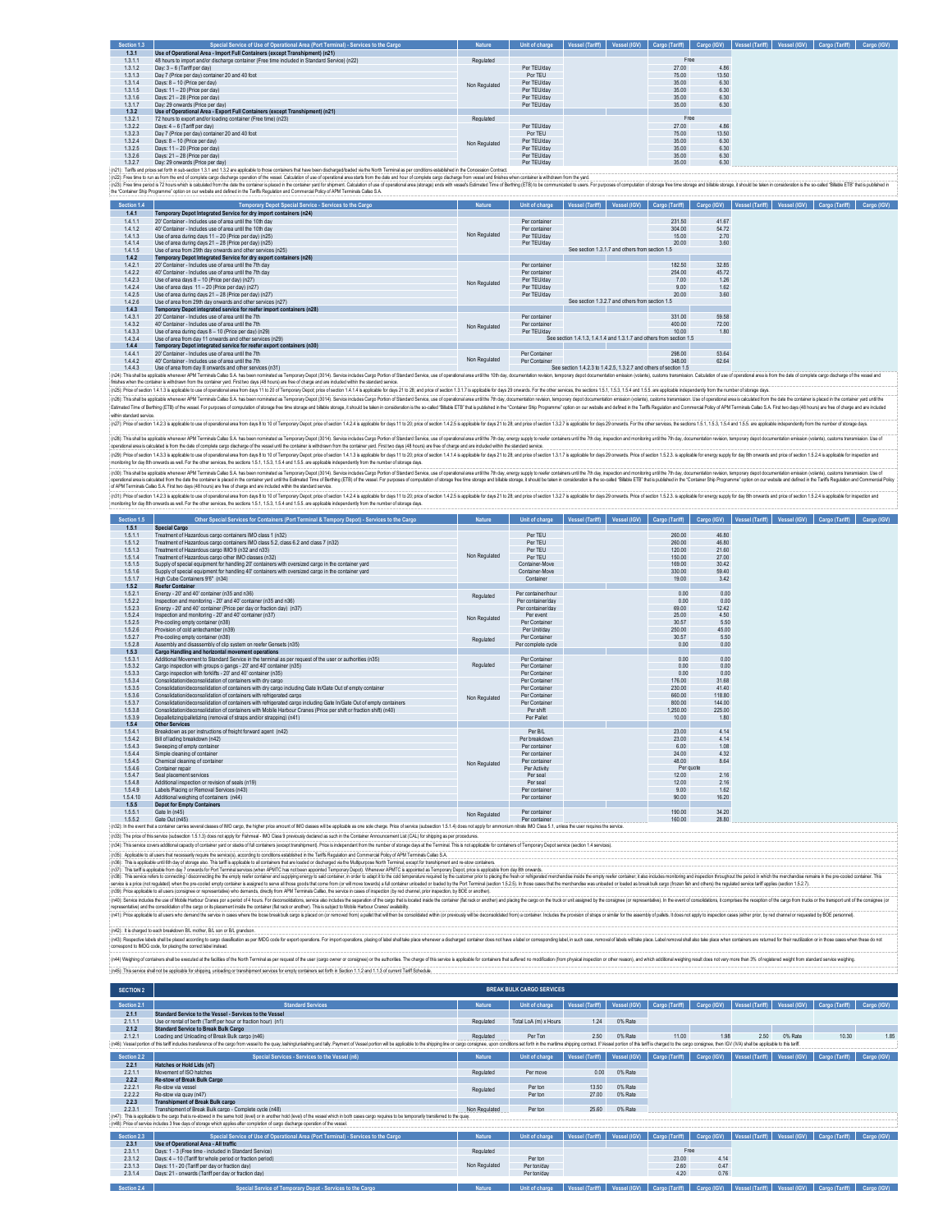| Section 1.3 | Special Service of Use of Operational Area (Port Terminal) - Services to the Cargo                                                                                                                               | <b>Nature</b> | Unit of charge | Vessel (Tariff) | Vessel (IGV) | Cargo (Tariff) |       | Cargo (IGV)   Vessel (Tariff)   Vessel (IGV)   Cargo (Tariff) | Cargo (IGV) |
|-------------|------------------------------------------------------------------------------------------------------------------------------------------------------------------------------------------------------------------|---------------|----------------|-----------------|--------------|----------------|-------|---------------------------------------------------------------|-------------|
| 1.3.1       | Use of Operational Area - Import Full Containers (except Transhipment) (n21)                                                                                                                                     |               |                |                 |              |                |       |                                                               |             |
| 1.3.1.1     | 48 hours to import and/or discharge container (Free time included in Standard Service) (n22)                                                                                                                     | Regulated     |                |                 |              | Free           |       |                                                               |             |
| 1.3.12      | Day: 3 - 6 (Tariff per day)                                                                                                                                                                                      |               | Per TEU/day    |                 |              | 27.00          | 4.86  |                                                               |             |
| 1.3.1.3     | Day 7 (Price per day) container 20 and 40 foot                                                                                                                                                                   |               | Por TEU        |                 |              | 75.00          | 13.50 |                                                               |             |
| 1.3.1.4     | Days: 8 - 10 (Price per day)                                                                                                                                                                                     | Non Regulated | Per TEU/day    |                 |              | 35.00          | 6.30  |                                                               |             |
| 1.3.1.5     | Days: 11 - 20 (Price per day)                                                                                                                                                                                    |               | Per TEU/day    |                 |              | 35.00          | 6.30  |                                                               |             |
| 1.3.1.6     | Days: 21 - 28 (Price ner day)                                                                                                                                                                                    |               | Per TEU/day    |                 |              | 35.00          | 6.30  |                                                               |             |
| 1.3.1.7     | Day: 29 onwards (Price per day)                                                                                                                                                                                  |               | Per TEU/day    |                 |              | 35.00          | 6.30  |                                                               |             |
| 1.3.2       | Use of Operational Area - Export Full Containers (except Transhipment) (n21)                                                                                                                                     |               |                |                 |              |                |       |                                                               |             |
| 1.32.1      | 72 hours to export and/or loading container (Free time) (n23)                                                                                                                                                    | Regulated     |                |                 |              | Free           |       |                                                               |             |
| 1.322       | Days: 4 - 6 (Tariff per day)                                                                                                                                                                                     |               | Per TEU/day    |                 |              | 27.00          | 4.86  |                                                               |             |
| 1.323       | Day 7 (Price per day) container 20 and 40 foot                                                                                                                                                                   |               | Por TEU        |                 |              | 75.00          | 13.50 |                                                               |             |
| 1.3.2.4     | Days: 8 - 10 (Price per day)                                                                                                                                                                                     | Non Regulated | Per TEU/day    |                 |              | 35.00          | 6.30  |                                                               |             |
| 1.3.2.5     | Days: 11 - 20 (Price per day)                                                                                                                                                                                    |               | Per TEU/day    |                 |              | 35.00          | 6.30  |                                                               |             |
| 1.3.2.6     | Days: 21 - 28 (Price per day)                                                                                                                                                                                    |               | Per TEU/day    |                 |              | 35.00          | 6.30  |                                                               |             |
| 1327        | Day: 29 onwards (Price per day)                                                                                                                                                                                  |               | Per TEU/day    |                 |              | 35.00          | 6.30  |                                                               |             |
|             | (n)1). Toriffo and ningo cat forth in auh, cartion 131 and 132 are annivable to those containers that have hean discharged/naded via the North Terminal as ner conditions astablished in the Concassion Contract |               |                |                 |              |                |       |                                                               |             |

(iC)). sefan pixes ston he aboomda and a lateral and a state to construct the beat decident in the media of the media produce and the media and tour decides and to media and tour constructed and the second of the second of

| Section 1.4 | Temporary Depot Special Service - Services to the Cargo               | <b>Nature</b> | Unit of charge | Vessel (Tariff)                                                      | Vessel (IGV)                                    | Cargo (Tariff) | Cargo (IGV) | Vessel (Tariff) | Vessel (IGV) | Cargo (Tariff) | Cargo (IGV) |
|-------------|-----------------------------------------------------------------------|---------------|----------------|----------------------------------------------------------------------|-------------------------------------------------|----------------|-------------|-----------------|--------------|----------------|-------------|
| 1.4.1       | Temporary Depot Integrated Service for dry import containers (n24)    |               |                |                                                                      |                                                 |                |             |                 |              |                |             |
| 1.4.1.1     | 20' Container - Includes use of area until the 10th day               |               | Per container  |                                                                      |                                                 | 231.50         | 41.67       |                 |              |                |             |
| 1.4.12      | 40' Container - Includes use of area until the 10th day               |               | Per container  |                                                                      |                                                 | 304.00         | 54.72       |                 |              |                |             |
| 1.4.1.3     | Use of area during days 11 - 20 (Price per day) (n25)                 | Non Regulated | Per TEU/day    |                                                                      |                                                 | 15.00          | 2.70        |                 |              |                |             |
| 1.4.1.4     | Use of area during days 21 - 28 (Price per day) (n25)                 |               | Per TEU/day    |                                                                      |                                                 | 20.00          | 3.60        |                 |              |                |             |
| 1.4.1.5     | Use of area from 29th day onwards and other services (n25)            |               |                |                                                                      | See section 1.3.1.7 and others from section 1.5 |                |             |                 |              |                |             |
| 1.4.2       | Temporary Depot Integrated Service for dry export containers (n26)    |               |                |                                                                      |                                                 |                |             |                 |              |                |             |
| 1.42.1      | 20' Container - Includes use of area until the 7th day                |               | Per container  |                                                                      |                                                 | 182.50         | 32.85       |                 |              |                |             |
| 1.4.2.2     | 40' Container - Includes use of area until the 7th day                |               | Per container  |                                                                      |                                                 | 254.00         | 45.72       |                 |              |                |             |
| 1.423       | Use of area days 8 - 10 (Price per day) (n27)                         | Non Regulated | Per TEU/day    |                                                                      |                                                 | 7.00           | 1.26        |                 |              |                |             |
| 1.4.2.4     | Use of area days 11 - 20 (Price per day) (n27)                        |               | Per TEU/day    |                                                                      |                                                 | 9.00           | 1.62        |                 |              |                |             |
| 1.4.2.5     | Use of area during days 21 - 28 (Price per day) (n27)                 |               | Per TEU/day    |                                                                      |                                                 | 20.00          | 3.60        |                 |              |                |             |
| 1.4.2.6     | Use of area from 29th day onwards and other services (n27).           |               |                |                                                                      | See section 1.3.2.7 and others from section 1.5 |                |             |                 |              |                |             |
| 1.4.3       | Temporary Depot integrated service for reefer import containers (n28) |               |                |                                                                      |                                                 |                |             |                 |              |                |             |
| 1.4.3.1     | 20' Container - Includes use of area until the 7th                    |               | Per container  |                                                                      |                                                 | 331.00         | 59.58       |                 |              |                |             |
| 1.4.3.2     | 40' Container - Includes use of area until the 7th                    | Non Regulated | Per container  |                                                                      |                                                 | 400.00         | 72.00       |                 |              |                |             |
| 1.4.3.3     | Use of area during days 8 - 10 (Price per day) (n29)                  |               | Per TEU/day    |                                                                      |                                                 | 10.00          | 1.80        |                 |              |                |             |
| 1.4.3.4     | Use of area from day 11 onwards and other services (n29)              |               |                | See section 1.4.1.3. 1.4.1.4 and 1.3.1.7 and others from section 1.5 |                                                 |                |             |                 |              |                |             |
| 1.4.4       | Temporary Depot integrated service for reefer export containers (n30) |               |                |                                                                      |                                                 |                |             |                 |              |                |             |
| 1.4.4.1     | 20' Container - Includes use of area until the 7th                    |               | Per Container  |                                                                      |                                                 | 298.00         | 53.64       |                 |              |                |             |
| 1.4.4.2     | 40' Container - Includes use of area until the 7th                    | Non Regulated | Per Container  |                                                                      |                                                 | 348.00         | 62.64       |                 |              |                |             |
| 1.4.4.3     | Use of area from day 8 onwards and other services (n31)               |               |                | See section 1.4.2.3 to 1.4.2.5, 1.3.2.7 and others of section 1.5    |                                                 |                |             |                 |              |                |             |

1443 Used ates towards and weak and the service in 31). Service in the service in the service in the service in the service in the service in the service in the service in the service in the service in the service in the s

(ob); his all explain envery All Emind Cab S.A Insteam on Indieds Findown Developed Different in the substitution in the substitution in the substitution in the substitution in the substitution in the substitution in the c

with sinds of the Superior in the Superior and the Superior Superior (Superior Superior Superior Superior Superior Superior Superior Superior Superior Superior Superior Superior Superior Superior Superior Superior Superior

(c3): his shall a good in the member will are the ben nother in the state of 2010, Server and the member of the state of the state of the state of the state of the state of the state of the state of the state of the state

(o3); This tall be apploble whener APM TeminalCalleo SA has been romined as Temporary Deput (2014), Service incomporary considerations and the film of the computation including the film of the computation incomporation inc

(nS)) how do a hall the suplate bue of central extend and the distance of of the compart of the suppose of the 2012 and the compart of the suppose of the compart of the suppose of the compart of the compart of the suppose

| Section 1.5        | Other Special Services for Containers (Port Terminal & Tempory Depot) - Services to the Cargo                                                                                                                                                    | Nature        | Unit of charge           | Vessel (Tariff) | Vessel (IGV) Cargo (Tariff) | Cargo (IGV) | Vessel (Tariff)   Vessel (IGV)   Cargo (Tariff) | Cargo (IGV) |
|--------------------|--------------------------------------------------------------------------------------------------------------------------------------------------------------------------------------------------------------------------------------------------|---------------|--------------------------|-----------------|-----------------------------|-------------|-------------------------------------------------|-------------|
| 1.5.1              | <b>Special Cargo</b>                                                                                                                                                                                                                             |               |                          |                 |                             |             |                                                 |             |
| 1.5.1.1            | Treatment of Hazardous cargo containers IMO class 1 (n32)                                                                                                                                                                                        |               | Per TEU                  |                 | 260.00                      | 46.80       |                                                 |             |
| 1.5.1.2            | Treatment of Hazardous cargo containers IMO dass 5.2, dass 6.2 and class 7 (n32)                                                                                                                                                                 |               | Per TEU                  |                 | 260.00                      | 46.80       |                                                 |             |
| 1.5.1.3            | Treatment of Hazardous cargo IMO 9 (n32 and n33)                                                                                                                                                                                                 |               | Per TEU                  |                 | 120.00                      | 21.60       |                                                 |             |
| 1.5.1.4            | Treatment of Hazardous cargo other IMO classes (n32)                                                                                                                                                                                             | Non Regulated | Per TFU                  |                 | 150.00                      | 27.00       |                                                 |             |
| 1.5.1.5            | Supply of special equipment for handling 20° containers with oversized cargo in the container vard                                                                                                                                               |               | Container-Move           |                 | 169.00                      | 30.42       |                                                 |             |
| 1.5.1.6            | Supply of special equipment for handling 40° containers with oversized cargo in the container vard                                                                                                                                               |               | Container-Move           |                 | 330.00                      | 59.40       |                                                 |             |
| 1.5.1.7            | High Cube Containers 9'6" (n34)                                                                                                                                                                                                                  |               | Container                |                 | 19.00                       | 3.42        |                                                 |             |
| 1.5.2              | <b>Reefer Container</b>                                                                                                                                                                                                                          |               |                          |                 |                             |             |                                                 |             |
| 1.52.1             | Energy - 20' and 40' container (n35 and n36)                                                                                                                                                                                                     |               | Per container/hour       |                 | 0.00                        | 0.00        |                                                 |             |
| 1.522              | Inspection and monitoring - 20' and 40' container (n35 and n36)                                                                                                                                                                                  | Regulated     | Per container/day        |                 | 0.00                        | 0.00        |                                                 |             |
| 1.523              | Energy - 20" and 40" container (Price per day or fraction day) (n37)                                                                                                                                                                             |               | Per container/day        |                 | 69.00                       | 12.42       |                                                 |             |
| 1.5.2.4            | Inspection and monitoring - 20' and 40' container (n37)                                                                                                                                                                                          |               | Per event                |                 | 25.00                       | 4.50        |                                                 |             |
| 1.5.2.5            | Pre-cooling empty container (n38)                                                                                                                                                                                                                | Non Regulated | Per Container            |                 | 30.57                       | 5.50        |                                                 |             |
| 1.5.2.6            | Provision of cold antechamber (n39)                                                                                                                                                                                                              |               | Per Unit/day             |                 | 250.00                      | 45.00       |                                                 |             |
| 1.5.2.7            | Pre-cooling empty container (n38)                                                                                                                                                                                                                |               | Per Container            |                 | 30.57                       | 5.50        |                                                 |             |
| 1528               | Assembly and disassembly of dip system on reefer Gensets (n35)                                                                                                                                                                                   | Regulated     | Per complete cycle       |                 | 0.00                        | 0.00        |                                                 |             |
| 1.5.3              | Cargo Handling and horizontal movement operations                                                                                                                                                                                                |               |                          |                 |                             |             |                                                 |             |
| 1.5.3.1            | Additional Movement to Standard Service in the terminal as per request of the user or authorities (n35).                                                                                                                                         |               | Per Container            |                 | 0.00                        | 0.00        |                                                 |             |
| 1.5.3.2            | Cargo inspection with groups o gangs - 20' and 40' container (n35)                                                                                                                                                                               | Regulated     | Per Container            |                 | 0.00                        | 0.00        |                                                 |             |
| 1533               | Cargo inspection with forklifts - 20' and 40' container (n35).                                                                                                                                                                                   |               | Per Container            |                 | 0.00                        | 0.00        |                                                 |             |
| 1.5.3.4            | Consolidation/deconsolidation of containers with dry cargo                                                                                                                                                                                       |               | Per Container            |                 | 176.00                      | 31.68       |                                                 |             |
| 1.5.3.5            | Consolidation/deconsolidation of containers with dry cargo including Gate In/Gate Out of empty container                                                                                                                                         |               | Per Container            |                 | 230.00                      | 41.40       |                                                 |             |
| 1.5.3.6            | Consolidation/deconsolidation of containers with refrigerated cargo                                                                                                                                                                              |               | Per Container            |                 | 660.00                      | 118.80      |                                                 |             |
| 1.5.3.7            | Consolidation/deconsolidation of containers with refrigerated cargo including Gate In/Gate Out of empty containers                                                                                                                               | Non Regulated | Per Container            |                 | 800.00                      | 144.00      |                                                 |             |
| 1.5.3.8            | Consolidation/deconsolidation of containers with Mobile Harbour Cranes (Price per shift or fraction shift) (n40)                                                                                                                                 |               | Per shift                |                 | 1.250.00                    | 225.00      |                                                 |             |
| 1.5.3.9            | Depalletizing/palletizing (removal of straps and/or strapping) (n41)                                                                                                                                                                             |               | Per Pallet               |                 | 10.00                       | 1.80        |                                                 |             |
| 1.5.4              | Other Services                                                                                                                                                                                                                                   |               |                          |                 |                             |             |                                                 |             |
| 1.5.4.1            | Breakdown as per instructions of freight forward agent (n42)                                                                                                                                                                                     |               | Per B/L                  |                 | 23.00                       | 4.14        |                                                 |             |
| 1.5.4.2            | Bill of lading breakdown (n42)                                                                                                                                                                                                                   |               | Per breakdown            |                 | 23.00                       | 4.14        |                                                 |             |
| 1.5.4.3            | Sweeping of empty container                                                                                                                                                                                                                      |               | Per container            |                 | 6.00                        | 1.08        |                                                 |             |
| 1.5.4.4            | Simple cleaning of container                                                                                                                                                                                                                     |               | Per container            |                 | 24.00                       | 4.32        |                                                 |             |
| 1.5.4.5            | Chemical cleaning of container                                                                                                                                                                                                                   |               | Per container            |                 | 48.00                       | 8.64        |                                                 |             |
|                    |                                                                                                                                                                                                                                                  | Non Regulated |                          |                 | Per quote                   |             |                                                 |             |
| 1.5.4.6<br>1.5.4.7 | Container repair                                                                                                                                                                                                                                 |               | Per Activity<br>Per seal |                 | 12.00                       | 2.16        |                                                 |             |
|                    | Seal placement services                                                                                                                                                                                                                          |               |                          |                 |                             |             |                                                 |             |
| 1.5.4.8            | Additional inspection or revision of seals (n19)                                                                                                                                                                                                 |               | Per seal                 |                 | 12.00                       | 2.16        |                                                 |             |
| 1.5.4.9            | Labels Placing or Removal Services (n43)                                                                                                                                                                                                         |               | Per container            |                 | 9.00                        | 1.62        |                                                 |             |
| 1.5.4.10           | Additional weighing of containers (n44)                                                                                                                                                                                                          |               | Per container            |                 | 90.00                       | 16.20       |                                                 |             |
| 1.5.5              | <b>Depot for Empty Containers</b>                                                                                                                                                                                                                |               |                          |                 |                             |             |                                                 |             |
| 1.5.5.1            | Gate In (n45)                                                                                                                                                                                                                                    | Non Regulated | Per container            |                 | 190.00                      | 34.20       |                                                 |             |
| 1.5.5.2            | Gate Out (n45)<br>(n32): In the event that a container carries several classes of IMO carco, the higher price amount of IMO dasses will be applicable as one sole charge. Price of service (subsection 1.5.1.4) does not applicably for ammonium |               | Per container            |                 | 160.00                      | 28.80       |                                                 |             |

:<br>(n33): The price of this service (subsection 1.5.1.3) does not acolv for Fishmeal - IMO Class 9 previously declared as such in the Container Announcement List (CAL) for shipping as per propedures.

(63): The pice of this serice (subsection 15.13) does not apply of Falmes - MO Class previous) decision as un the Containe Amountment List (24) to shipping aer procedure.<br>(65): This serice considers additionally all contai

(16%) hote policies in due to the composer manuform of the state of the female discussion in the composite income of the composite income of the composite income of the composite income income income income income income i

(m2): it schanged beach treations it). molths in the Standard as per MDG code for exportations for import operations, planing district is in product is in the security and the size whenever a distriged contains contains th

M4) Weighing of containers shall be executed at the facilities of the Man Terminal as per request of the user (cargo owner or consignee) or the authorities. The charge of this service as explicable for containes that suffi

(n45): This service shall not be applicable for shipping, unloading or transhipment services for empty containers set forth in Section 1.1.2 and 1.1.3 of current Tariff Schedule.

| <b>SECTION 2</b> |                                                                                                                                                                                                                                |               | <b>BREAK BULK CARGO SERVICES</b> |                              |              |                |             |                 |              |                |             |
|------------------|--------------------------------------------------------------------------------------------------------------------------------------------------------------------------------------------------------------------------------|---------------|----------------------------------|------------------------------|--------------|----------------|-------------|-----------------|--------------|----------------|-------------|
| Section 2.1      | <b>Standard Services</b>                                                                                                                                                                                                       | <b>Nature</b> | Unit of charge                   | <b>Vessel (Tariff)</b>       | Vessel (IGV) | Cargo (Tariff) | Cargo (IGV) | Vessel (Tariff) | Vessel (IGV) | Cargo (Tariff) | Cargo (IGV) |
| 2.1.1            | Standard Service to the Vessel - Services to the Vessel                                                                                                                                                                        |               |                                  |                              |              |                |             |                 |              |                |             |
| 2.1.1.1          | Use or rental of berth (Tariff per hour or fraction hour) (n1)                                                                                                                                                                 | Regulated     | Total LoA (m) x Hours            | 1.24                         | 0% Rate      |                |             |                 |              |                |             |
| 2.1.2            | <b>Standard Service to Break Bulk Cargo</b>                                                                                                                                                                                    |               |                                  |                              |              |                |             |                 |              |                |             |
| 2.12.1           | Loading and Unloading of Break Bulk cargo (n46)                                                                                                                                                                                | Regulated     | Per Ton                          | 2.50                         | 0% Rate      | 11.00          | 1.98        | 2.50            | 0% Rate      | 10.30          | 1.85        |
|                  | (n46): Vessel portion of this tariff includes transference of the cargo from vessel to the quay, lashinglunlashing and tally. Payment of Vessel portion will be applicable to the shipping line or cargo consignee, upon condi |               |                                  |                              |              |                |             |                 |              |                |             |
| Section 2.2      | Special Services - Services to the Vessel (n6)                                                                                                                                                                                 | <b>Nature</b> | Unit of charge                   | Vessel (Tariff)              | Vessel (IGV) | Cargo (Tariff) | Cargo (IGV) | Vessel (Tariff) | Vessel (IGV) | Cargo (Tariff) | Cargo (IGV) |
| 2.2.1            | Hatches or Hold Lids (n7)                                                                                                                                                                                                      |               |                                  |                              |              |                |             |                 |              |                |             |
| 2.2.1.1          | Movement of ISO hatches                                                                                                                                                                                                        | Regulated     | Per move                         | 0.00                         | 0% Rate      |                |             |                 |              |                |             |
| 2.2.2            | Re-stow of Break Bulk Cargo                                                                                                                                                                                                    |               |                                  |                              |              |                |             |                 |              |                |             |
| 2.2.2.1          | Re-stow via vessel                                                                                                                                                                                                             | Regulated     | Per ton                          | 13.50                        | 0% Rate      |                |             |                 |              |                |             |
| 2222             | Re-stow via quay (n47)                                                                                                                                                                                                         |               | Per ton                          | 27.00                        | 0% Rate      |                |             |                 |              |                |             |
| 2.2.3            | <b>Transhipment of Break Bulk cargo</b>                                                                                                                                                                                        |               |                                  |                              |              |                |             |                 |              |                |             |
| 2231             | Transhipment of Break Bulk cargo - Complete cycle (n48)                                                                                                                                                                        | Non Regulated | Per ton                          | 25.60                        | 0% Rate      |                |             |                 |              |                |             |
|                  | (n47): This is applicable to the cargo that is re-stowed in the same hold (level) or in another hold (level) of the vessel which in both cases cargo requires to be temporarly transferred to the quay.                        |               |                                  |                              |              |                |             |                 |              |                |             |
|                  | (n48): Price of service includes 3 free days of storage which applies after completion of cargo discharge operation of the vessel.                                                                                             |               |                                  |                              |              |                |             |                 |              |                |             |
| Section 2.3      | Special Service of Use of Operational Area (Port Terminal) - Services to the Cargo                                                                                                                                             | <b>Nature</b> | Unit of charge                   | Vessel (Tariff)              | Vessel (IGV) | Cargo (Tariff) | Cargo (IGV) | Vessel (Tariff) | Vessel (IGV) | Cargo (Tariff) | Cargo (IGV) |
| 2.3.1            | Use of Operational Area - All traffic                                                                                                                                                                                          |               |                                  |                              |              |                |             |                 |              |                |             |
| 2.3.1.1          | Days: 1 - 3 (Free time - included in Standard Service)                                                                                                                                                                         | Regulated     |                                  |                              |              | Free           |             |                 |              |                |             |
| 2.3.1.2          | Days: 4 - 10 (Tariff for whole period or fraction period)                                                                                                                                                                      |               | Per ton                          |                              |              | 23.00          | 4 14        |                 |              |                |             |
| 2.3.1.3          | Days: 11 - 20 (Tariff per day or fraction day)                                                                                                                                                                                 | Non Regulated | Per ton/day                      |                              |              | 2.60           | 0.47        |                 |              |                |             |
| 2.3.1.4          | Days: 21 - onwards (Tariff per day or fraction day)                                                                                                                                                                            |               | Per ton/day                      |                              |              | 4.20           | 0.76        |                 |              |                |             |
|                  |                                                                                                                                                                                                                                |               |                                  |                              |              |                |             |                 |              |                |             |
| Section 2.4      | Special Service of Temporary Depot - Services to the Cargo                                                                                                                                                                     | <b>Nature</b> | Unit of charge                   | Vessel (Tariff) Vessel (IGV) |              | Cargo (Tariff) | Cargo (IGV) | Vessel (Tariff) | Vessel (IGV) | Cargo (Tariff) | Cargo (IGV) |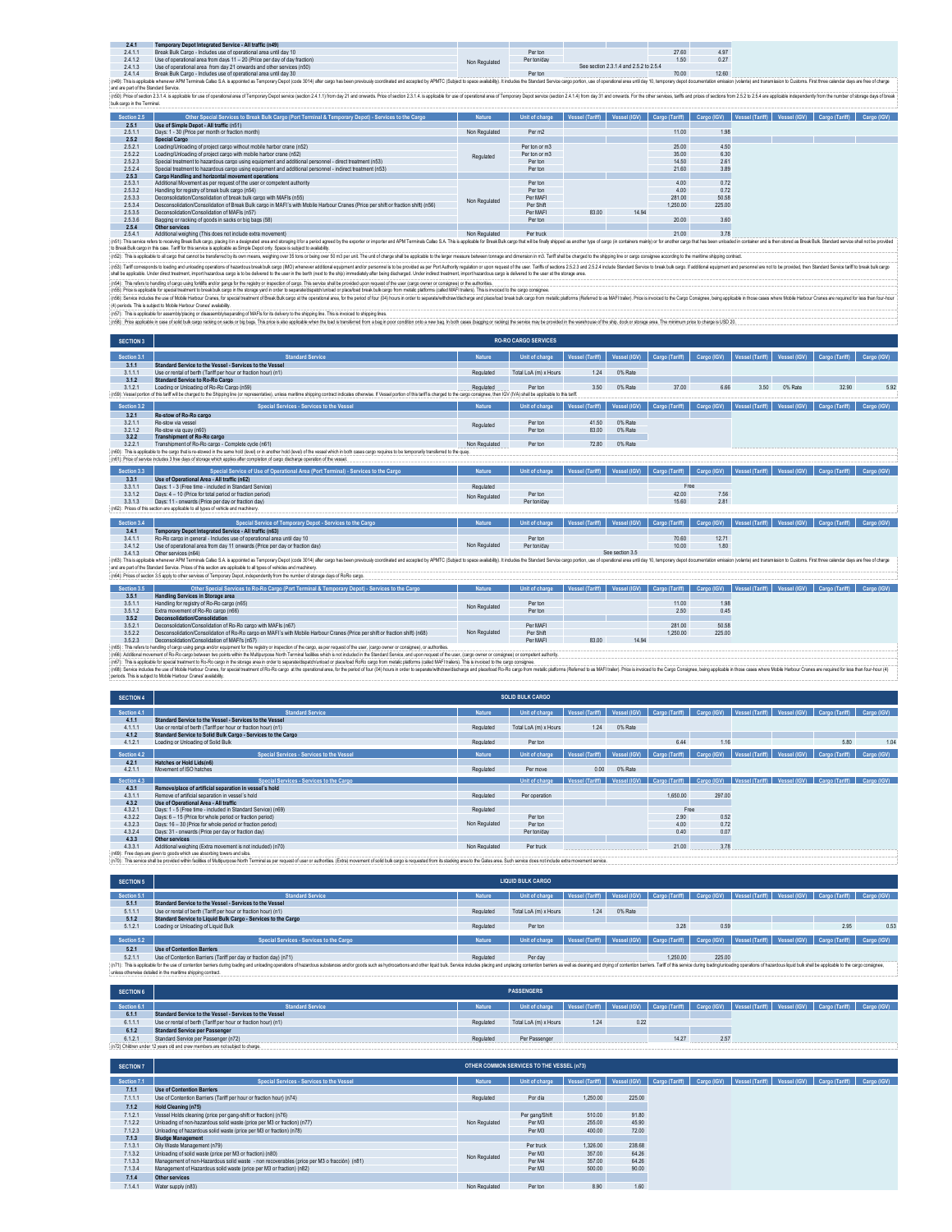| 2.4.1                                 | Temporary Depot Integrated Service - All traffic (n49)                                                                                                                                                                         |               |             |                                        |       |       |  |
|---------------------------------------|--------------------------------------------------------------------------------------------------------------------------------------------------------------------------------------------------------------------------------|---------------|-------------|----------------------------------------|-------|-------|--|
| 2.4.1.1                               | Break Bulk Cargo - Includes use of operational area until day 10                                                                                                                                                               |               | Per ton     |                                        | 27.60 | 4.97  |  |
| 2412                                  | Use of operational area from days 11 - 20 (Price per day of day fraction)                                                                                                                                                      | Non Regulated | Per ton/day |                                        | 1.50  | 0.27  |  |
| 2.4.1.3                               | Use of operational area from day 21 onwards and other services (n50)                                                                                                                                                           |               |             | See section 2.3.1.4 and 2.5.2 to 2.5.4 |       |       |  |
| 2414                                  | Break Bulk Cargo - Includes use of operational area until day 30                                                                                                                                                               |               | Per ton     |                                        | 70.00 | 12.60 |  |
|                                       | (n49): This is applicable whenever APM Terminals Callao S.A. is appointed as Temporary Depot (code 3014) after cargo has been previously coordinated and accepted by APMTC (Subject to space availability). It includes the St |               |             |                                        |       |       |  |
| and are part of the Standard Service. |                                                                                                                                                                                                                                |               |             |                                        |       |       |  |
|                                       | (n50): Price of section 2.3.1.4. is applicable for use of operational area of Temporary Depot service (section 2.4.1.1) from day 21 and onwards. Price of section 2.3.1.4. is applicable for use of operational area of Tempor |               |             |                                        |       |       |  |

| bulk cargo in the Terminal. |                                                                                                                                   |                     |                |                 |       |                                         |         |  |                                                 |             |
|-----------------------------|-----------------------------------------------------------------------------------------------------------------------------------|---------------------|----------------|-----------------|-------|-----------------------------------------|---------|--|-------------------------------------------------|-------------|
| Section 2.5                 | Other Special Services to Break Bulk Cargo (Port Terminal & Temporary Depot) - Services to the Cargo                              | <b>Nature</b>       | Unit of charge | Vessel (Tariff) |       | Vessel (IGV) Cargo (Tariff) Cargo (IGV) |         |  | Vessel (Tariff)   Vessel (IGV)   Cargo (Tariff) | Cargo (IGV) |
| 2.5.1                       | Use of Simple Depot - All traffic (n51)                                                                                           |                     |                |                 |       |                                         |         |  |                                                 |             |
| 2.5.1.1                     | Days: 1 - 30 (Price per month or fraction month)                                                                                  | Non Regulated       | Per m2         |                 |       | 11.00                                   | 1.98    |  |                                                 |             |
| 2.5.2                       | <b>Special Cargo</b>                                                                                                              |                     |                |                 |       |                                         |         |  |                                                 |             |
| 2.52.1                      | Loading/Unloading of project cargo without mobile harbor crane (n52)                                                              |                     | Per ton or m3  |                 |       | 25.00                                   | 4.50    |  |                                                 |             |
| 2.522                       | Loading/Unloading of project cargo with mobile harbor crane (n52)                                                                 | Regulated           | Per ton or m3  |                 |       | 35.00                                   | 6.30    |  |                                                 |             |
| 2.523                       | Special treatment to hazardous cargo using equipment and additional personnel - direct treatment (n53)                            |                     | Per ton        |                 |       | 14.50                                   | 2.61    |  |                                                 |             |
| 2.52.4                      | Special treatment to hazardous cargo using equipment and additional personnel - indirect treatment (n53)                          |                     | Per ton        |                 |       | 21.60                                   | 3.89    |  |                                                 |             |
| 2.5.3                       | Cargo Handling and horizontal movement operations                                                                                 |                     |                |                 |       |                                         |         |  |                                                 |             |
| 2.5.3.1                     | Additional Movement as per request of the user or competent authority                                                             |                     | Per ton        |                 |       | 400                                     | 0.72    |  |                                                 |             |
| 2.5.3.2                     | Handling for registry of break bulk cargo (n54)                                                                                   |                     | Per ton        |                 |       | 400                                     | 0.72    |  |                                                 |             |
| 2.5.3.3                     | Deconsolidation/Consolidation of break bulk cargo with MAFIs (n55)                                                                | Non Regulated       | Per MAFI       |                 |       | 281.00                                  | 50.58   |  |                                                 |             |
| 2.5.3.4                     | Desconsolidation/Consolidation of Break Bulk cargo in MAEI's with Mobile Harbour Cranes (Price ner shift or fraction shift) (n56) |                     | Per Shift      |                 |       | 1.250.00                                | 225.00  |  |                                                 |             |
| 2.5.3.5                     | Deconsolidation/Consolidation of MAFIs (n57)                                                                                      |                     | Per MAFI       | 83.00           | 14.94 |                                         |         |  |                                                 |             |
| 2.5.3.6                     | Bagging or racking of goods in sacks or big bags (58).                                                                            |                     | Per ton        |                 |       | 20.00                                   | 3.60    |  |                                                 |             |
| 2.5.4                       | Other services                                                                                                                    |                     |                |                 |       |                                         |         |  |                                                 |             |
| $A = 11$                    | A stable construction believe PPIs by shares work be about a product construction of the                                          | Alley Presidents de | Programmed and |                 |       | 0.400                                   | $A = 0$ |  |                                                 |             |

25.4 Obstranden in solution of the state of a movement) Moreover and the state of the state of the state of the state of the state of the state of the state of the state of the state of the state of the state of the state

(r6). The istraction of the desparation of the main of the state of the state of department days the interaction main of the main of the construction of the state of the state of the state of the state of the state of the

SECTION 3 (r6)); This applicitle for assmally blang o dissemblying articly activity for the blang to the indeptop for This inviole the input one band the propose in a ban hoor condition about how both blank in the blang in the movem **RO-RO CARGO SERVICES**

| Section 3.1 | <b>Standard Service</b>                                                                                                                                                                                                        | <b>Nature</b> | Unit of charge        | <b>Vessel (Tariff)</b> | Vessel (IGV)    | Cargo (Tariff) | Cargo (IGV) | Vessel (Tariff)        | Vessel (IGV) | Cargo (Tariff) | Cargo (IGV) |
|-------------|--------------------------------------------------------------------------------------------------------------------------------------------------------------------------------------------------------------------------------|---------------|-----------------------|------------------------|-----------------|----------------|-------------|------------------------|--------------|----------------|-------------|
| 3.1.1       | Standard Service to the Vessel - Services to the Vessel                                                                                                                                                                        |               |                       |                        |                 |                |             |                        |              |                |             |
| 3.1.1.1     | Use or rental of berth (Tariff per hour or fraction hour) (n1)                                                                                                                                                                 | Regulated     | Total LoA (m) x Hours | 1.24                   | 0% Rate         |                |             |                        |              |                |             |
| 3.1.2       | Standard Service to Ro-Ro Cargo                                                                                                                                                                                                |               |                       |                        |                 |                |             |                        |              |                |             |
| 3.12.1      | Loading or Unloading of Ro-Ro Cargo (n59)                                                                                                                                                                                      | Regulated     | Per ton               | 3.50                   | 0% Rate         | 37.00          | 6.66        | 3.50                   | 0% Rate      | 32.90          | 5.92        |
|             | (n59): Vessel portion of this tariff will be charged to the Shipping line (or representative), unless mantime shipping contract indicates otherwise. If Vessel portion of this tariff is charged to the cargo consignee, then  |               |                       |                        |                 |                |             |                        |              |                |             |
| Section 3.2 | Special Services - Services to the Vessel                                                                                                                                                                                      | <b>Nature</b> | Unit of charge        | Vessel (Tariff)        | Vessel (IGV)    | Cargo (Tariff) | Cargo (IGV) | Vessel (Tariff)        | Vessel (IGV) | Cargo (Tariff) | Cargo (IGV) |
| 3.2.1       | Re-stow of Ro-Ro cargo                                                                                                                                                                                                         |               |                       |                        |                 |                |             |                        |              |                |             |
| 3.2.1.1     | Re-stow via vessel                                                                                                                                                                                                             |               | Per ton               | 41.50                  | 0% Rate         |                |             |                        |              |                |             |
| 3212        | Re-stow via quay (n60)                                                                                                                                                                                                         | Regulated     | Per ton               | 83.00                  | 0% Rate         |                |             |                        |              |                |             |
| 3.2.2       | Transhipment of Ro-Ro cargo                                                                                                                                                                                                    |               |                       |                        |                 |                |             |                        |              |                |             |
| 3.22.1      | Transhipment of Ro-Ro cargo - Complete cycle (p61)                                                                                                                                                                             | Non Regulated | Per ton               | 72.80                  | 0% Rate         |                |             |                        |              |                |             |
|             | (n60): This is applicable to the cargo that is re-stowed in the same hold (level) or in another hold (level) of the vessel which in both cases cargo requires to be temporarly transferred to the quay                         |               |                       |                        |                 |                |             |                        |              |                |             |
|             | (n61): Price of service includes 3 free days of storage which applies after completion of cargo discharge operation of the yessel.                                                                                             |               |                       |                        |                 |                |             |                        |              |                |             |
|             |                                                                                                                                                                                                                                |               |                       |                        |                 |                |             |                        |              |                |             |
| Section 3.3 | Special Service of Use of Operational Area (Port Terminal) - Services to the Cargo                                                                                                                                             | <b>Nature</b> | Unit of charge        | <b>Vessel (Tariff)</b> | Vessel (IGV)    | Cargo (Tariff) | Cargo (IGV) | Vessel (Tariff)        | Vessel (IGV) | Cargo (Tariff) | Cargo (IGV) |
| 3.3.1       | Use of Operational Area - All traffic (n62)                                                                                                                                                                                    |               |                       |                        |                 |                |             |                        |              |                |             |
| 3.3.1.1     | Days: 1 - 3 (Free time - included in Standard Service)                                                                                                                                                                         | Regulated     |                       |                        |                 | Free           |             |                        |              |                |             |
| 3.3.12      | Days: 4 - 10 (Price for total period or fraction period)                                                                                                                                                                       | Non Regulated | Per ton               |                        |                 | 42.00          | 7.56        |                        |              |                |             |
| 3.3.1.3     | Days: 11 - onwards (Price per day or fraction day)                                                                                                                                                                             |               | Per ton/day           |                        |                 | 15.60          | 2.81        |                        |              |                |             |
|             | (n62): Prices of this section are applicable to all types of vehicle and machinery.                                                                                                                                            |               |                       |                        |                 |                |             |                        |              |                |             |
| Section 3.4 | Special Service of Temporary Depot - Services to the Cargo                                                                                                                                                                     | <b>Nature</b> | Unit of charge        | <b>Vessel (Tariff)</b> | Vessel (IGV)    | Cargo (Tariff) | Cargo (IGV) | <b>Vessel (Tariff)</b> | Vessel (IGV) | Cargo (Tariff) | Cargo (IGV) |
| 3.4.1       | Temporary Depot Integrated Service - All traffic (n63)                                                                                                                                                                         |               |                       |                        |                 |                |             |                        |              |                |             |
| 3.4.1.1     | Ro-Ro cargo in general - Includes use of operational area until day 10                                                                                                                                                         |               | Per ton               |                        |                 | 70.60          | 12.71       |                        |              |                |             |
| 3412        | Use of operational area from day 11 onwards (Price per day or fraction day)                                                                                                                                                    | Non Regulated | Per ton/day           |                        |                 | 10.00          | 1.80        |                        |              |                |             |
| 3.4.1.3     | Other services (n64)                                                                                                                                                                                                           |               |                       |                        | See section 3.5 |                |             |                        |              |                |             |
|             | (n63): This is applicable whenever APM Terminals Callao S.A. is appointed as Temporary Depot (code 3014) after cargo has been previously coordinated and accepted by APMTC (Subject to space availability). It includes the St |               |                       |                        |                 |                |             |                        |              |                |             |
|             | and are part of the Standard Service. Prices of this section are applicable to all types of vehicles and machinery.                                                                                                            |               |                       |                        |                 |                |             |                        |              |                |             |
|             | (n64): Prices of section 3.5 apply to other services of Temporary Depot, independently from the number of storage days of RoRo cargo.                                                                                          |               |                       |                        |                 |                |             |                        |              |                |             |
| Section 3.5 | Other Special Services to Ro-Ro Cargo (Port Terminal & Temporary Depot) - Services to the Cargo                                                                                                                                | <b>Nature</b> | Unit of charge        | <b>Vessel (Tariff)</b> | Vessel (IGV)    | Cargo (Tariff) | Cargo (IGV) | Vessel (Tariff)        | Vessel (IGV) | Cargo (Tariff) | Cargo (IGV) |
| 0.54        | Handburg Brookers to Blomess and                                                                                                                                                                                               |               |                       |                        |                 |                |             |                        |              |                |             |

| 3.5.1   | Handling Services in Storage area                                                                                            |               |           |       |       |          |        |
|---------|------------------------------------------------------------------------------------------------------------------------------|---------------|-----------|-------|-------|----------|--------|
| 3.5.1.1 | Handling for registry of Ro-Ro cargo (n65)                                                                                   | Non Regulated | Per ton   |       |       | 11.00    | 1.98   |
| 3.5.1.2 | Extra movement of Ro-Ro cargo (n66)                                                                                          |               | Per ton   |       |       | 2.50     | 0.45   |
| 3.5.2   | Deconsolidation/Consolidation                                                                                                |               |           |       |       |          |        |
| 3.5.2.1 | Deconsolidation/Consolidation of Ro-Ro cargo with MAFIs (n67)                                                                |               | Per MAFI  |       |       | 281.00   | 50.58  |
| 3.5.2.2 | Desconsolidation/Consolidation of Ro-Ro cargo en MAFI's with Mobile Harbour Cranes (Price per shift or fraction shift) (n68) | Non Regulated | Per Shift |       |       | 1.250.00 | 225.00 |
| 3.5.2.3 | Deconsolidation/Consolidation of MAFI's (n57)                                                                                |               | Per MAFI  | 83.00 | 14.94 |          |        |

(n65) : This refers to handling of cargo using gangs and/or equipment for the registry or inspection of the cargo, as per request of the user, (cargo owner or consignee), or authorities.

(r6)). Mission of the Monomed the December Not possess in the Monomedia Controller and the Summer Summer and the Summer of the Summer of the Summer of the Summer Summer of the Summer of the Summer of the Summer Summer of t

| <b>SECTION 4</b> |                                                                                                                                                                                                                                |               | <b>SOLID BULK CARGO</b> |                 |              |                |             |                                                                                                                               |                                         |      |
|------------------|--------------------------------------------------------------------------------------------------------------------------------------------------------------------------------------------------------------------------------|---------------|-------------------------|-----------------|--------------|----------------|-------------|-------------------------------------------------------------------------------------------------------------------------------|-----------------------------------------|------|
| Section 4.1      | <b>Standard Service</b>                                                                                                                                                                                                        | <b>Nature</b> | Unit of charge          | Vessel (Tariff) | Vessel (IGV) | Cargo (Tariff) | Cargo (IGV) | Vessel (Tariff)   Vessel (IGV)   Cargo (Tariff)   Cargo (IGV)                                                                 |                                         |      |
| 4.1.1            | Standard Service to the Vessel - Services to the Vessel                                                                                                                                                                        |               |                         |                 |              |                |             |                                                                                                                               |                                         |      |
| 4.1.1.1          | Use or rental of berth (Tariff per hour or fraction hour) (n1)                                                                                                                                                                 | Regulated     | Total LoA (m) x Hours   | 1.24            | 0% Rate      |                |             |                                                                                                                               |                                         |      |
| 4.1.2            | Standard Service to Solid Bulk Cargo - Services to the Cargo                                                                                                                                                                   |               |                         |                 |              |                |             |                                                                                                                               |                                         |      |
| 4.12.1           | Loading or Unloading of Solid Bulk                                                                                                                                                                                             | Regulated     | Per ton                 |                 |              | 6.44           | 1.16        |                                                                                                                               | 5.80                                    | 1.04 |
| Section 4.2      | Special Services - Services to the Vessel                                                                                                                                                                                      | <b>Nature</b> |                         |                 |              |                |             |                                                                                                                               |                                         |      |
|                  |                                                                                                                                                                                                                                |               | Unit of charge          | Vessel (Tariff) | Vessel (IGV) | Cargo (Tariff) | Cargo (IGV) | Vessel (Tariff)                                                                                                               | Vessel (IGV) Cargo (Tariff) Cargo (IGV) |      |
| 4.2.1            | Hatches or Hold Lids(n6)                                                                                                                                                                                                       |               |                         |                 |              |                |             |                                                                                                                               |                                         |      |
| 4.2.1.1          | Movement of ISO hatches                                                                                                                                                                                                        | Regulated     | Per move                | 0.00            | 0% Rate      |                |             |                                                                                                                               |                                         |      |
| Section 4.3      | Special Services - Services to the Cargo                                                                                                                                                                                       |               | Unit of charge          |                 |              |                |             | Vessel (Tariff)   Vessel (IGV)   Cargo (Tariff)   Cargo (IGV)   Vessel (Tariff)   Vessel (IGV)   Cargo (Tariff)   Cargo (IGV) |                                         |      |
| 4.3.1            | Remove/place of artificial separation in vessel's hold                                                                                                                                                                         |               |                         |                 |              |                |             |                                                                                                                               |                                         |      |
| 4.3.1.1          | Remove of artificial separation in vessel's hold                                                                                                                                                                               | Regulated     | Per operation           |                 |              | 1.650.00       | 297.00      |                                                                                                                               |                                         |      |
| 4.3.2            | Use of Operational Area - All traffic                                                                                                                                                                                          |               |                         |                 |              |                |             |                                                                                                                               |                                         |      |
| 4.3.2.1          | Days: 1 - 5 (Free time - included in Standard Service) (n69)                                                                                                                                                                   | Regulated     |                         |                 |              | Free           |             |                                                                                                                               |                                         |      |
| 4.3.2.2          | Days: 6 - 15 (Price for whole period or fraction period)                                                                                                                                                                       |               | Per ton                 |                 |              | 2.90           | 0.52        |                                                                                                                               |                                         |      |
| 4.3.2.3          | Days: 16 - 30 (Price for whole period or fraction period)                                                                                                                                                                      | Non Regulated | Per ton                 |                 |              | 4.00           | 0.72        |                                                                                                                               |                                         |      |
| 4.3.2.4          | Days: 31 - onwards (Price per day or fraction day)                                                                                                                                                                             |               | Per ton/day             |                 |              | 0.40           | 0.07        |                                                                                                                               |                                         |      |
| 4.3.3            | Other services                                                                                                                                                                                                                 |               |                         |                 |              |                |             |                                                                                                                               |                                         |      |
| 4.3.3.1          | Additional weighing (Extra movement is not included) (n70)                                                                                                                                                                     | Non Regulated | Per truck               |                 |              | 21.00          | 3.78        |                                                                                                                               |                                         |      |
|                  | (n69): Free days are given to goods which use absorbing towers and silos.                                                                                                                                                      |               |                         |                 |              |                |             |                                                                                                                               |                                         |      |
|                  | (n70): This service shall be provided within facilities of Multipurpose North Terminal as per request of user or authorities. (Extra) movement of solid bulk cargo is requested from its stacking area to the Gates area. Such |               |                         |                 |              |                |             |                                                                                                                               |                                         |      |

| <b>SECTION 5</b> |                                                                                                                                                                                                                                                                                                |               | <b>LIQUID BULK CARGO</b> |      |         |                                                                                                                               |        |  |      |      |
|------------------|------------------------------------------------------------------------------------------------------------------------------------------------------------------------------------------------------------------------------------------------------------------------------------------------|---------------|--------------------------|------|---------|-------------------------------------------------------------------------------------------------------------------------------|--------|--|------|------|
| Section 5.1      | <b>Standard Service</b>                                                                                                                                                                                                                                                                        | <b>Nature</b> | Unit of charge           |      |         | Vessel (Tariff)   Vessel (IGV)   Cargo (Tariff)   Cargo (IGV)   Vessel (Tariff)   Vessel (IGV)   Cargo (Tariff)   Cargo (IGV) |        |  |      |      |
| 5.1.1            | Standard Service to the Vessel - Services to the Vessel                                                                                                                                                                                                                                        |               |                          |      |         |                                                                                                                               |        |  |      |      |
| 5.1.1.1          | Use or rental of berth (Tariff per hour or fraction hour) (n1)                                                                                                                                                                                                                                 | Regulated     | Total LoA (m) x Hours    | 1.24 | 0% Rate |                                                                                                                               |        |  |      |      |
| 5.1.2            | Standard Service to Liquid Bulk Cargo - Services to the Cargo                                                                                                                                                                                                                                  |               |                          |      |         |                                                                                                                               |        |  |      |      |
| 5.12.1           | Loading or Unloading of Liquid Bulk                                                                                                                                                                                                                                                            | Regulated     | Per ton                  |      |         | 3.28                                                                                                                          | 0.59   |  | 2.95 | 0.53 |
|                  |                                                                                                                                                                                                                                                                                                |               |                          |      |         |                                                                                                                               |        |  |      |      |
| Section 5.2      | Special Services - Services to the Cargo                                                                                                                                                                                                                                                       | <b>Nature</b> | Unit of charge           |      |         | Vessel (Tariff)   Vessel (IGV)   Cargo (Tariff)   Cargo (IGV)   Vessel (Tariff)   Vessel (IGV)   Cargo (Tariff)   Cargo (IGV) |        |  |      |      |
| 5.2.1            | <b>Use of Contention Barriers</b>                                                                                                                                                                                                                                                              |               |                          |      |         |                                                                                                                               |        |  |      |      |
| 5.2.1.1          | Use of Contention Barriers (Tariff per day or fraction day) (n71)                                                                                                                                                                                                                              | Regulated     | Per day                  |      |         | 1.250.00                                                                                                                      | 225.00 |  |      |      |
|                  | [n71]: This is applicable for the use of contention barriers during loading and unloading operations of hazardous substances and/or goods such as hydrocarbons and other louid buik. Service includes placing condention barri<br>unless otherwise detailed in the maritime shipping contract. |               |                          |      |         |                                                                                                                               |        |  |      |      |

| <b>SECTION 6</b> |                                                                               |           | <b>PASSENGERS</b>                                                                                                                             |      |      |       |      |  |  |
|------------------|-------------------------------------------------------------------------------|-----------|-----------------------------------------------------------------------------------------------------------------------------------------------|------|------|-------|------|--|--|
| Section 6.1      | <b>Standard Service</b>                                                       | Nature    | Unit of charge Vessel (Tariff)   Vessel (IGV)   Cargo (Tariff)   Cargo (IGV)   Vessel (ITariff)   Vessel (IGV)   Cargo (Tariff)   Cargo (IGV) |      |      |       |      |  |  |
| 6.1.1            | Standard Service to the Vessel - Services to the Vessel                       |           |                                                                                                                                               |      |      |       |      |  |  |
| 6.1.1.1          | Use or rental of berth (Tariff per hour or fraction hour) (n1)                | Regulated | Total LoA (m) x Hours                                                                                                                         | 1.24 | 0.22 |       |      |  |  |
| 6.1.2            | <b>Standard Service per Passenger</b>                                         |           |                                                                                                                                               |      |      |       |      |  |  |
| 6.12.1           | Standard Service per Passenger (n72)                                          | Regulated | Per Passenger                                                                                                                                 |      |      | 14.27 | 2.57 |  |  |
|                  | (n72) Children under 12 years old and crew members are not subject to charge. |           |                                                                                                                                               |      |      |       |      |  |  |

| <b>SECTION 7</b> |                                                                                            |               | OTHER COMMON SERVICES TO THE VESSEL (n73) |                 |              |                |             |                              |                |             |
|------------------|--------------------------------------------------------------------------------------------|---------------|-------------------------------------------|-----------------|--------------|----------------|-------------|------------------------------|----------------|-------------|
|                  |                                                                                            |               |                                           |                 |              |                |             |                              |                |             |
| Section 7.1      | Special Services - Services to the Vessel                                                  | <b>Nature</b> | Unit of charge                            | Vessel (Tariff) | Vessel (IGV) | Cargo (Tariff) | Cargo (IGV) | Vessel (Tariff) Vessel (IGV) | Cargo (Tariff) | Cargo (IGV) |
| 7.1.1            | <b>Use of Contention Barriers</b>                                                          |               |                                           |                 |              |                |             |                              |                |             |
| 7.1.1.1          | Use of Contention Barriers (Tariff per hour or fraction hour) (n74)                        | Regulated     | Por dia                                   | 1.250.00        | 225.00       |                |             |                              |                |             |
| 7.1.2            | Hold Cleaning (n75)                                                                        |               |                                           |                 |              |                |             |                              |                |             |
| 7.12.1           | Vessel Holds cleaning (price per gang-shift or fraction) (n76)                             | Non Regulated | Per gang/Shift                            | 510.00          | 91.80        |                |             |                              |                |             |
| 7.122            | Unloading of non-hazardous solid waste (price per M3 or fraction) (n77)                    |               | Per M3                                    | 255.00          | 45.90        |                |             |                              |                |             |
| 7.1.2.3          | Unloading of hazardous solid waste (price per M3 or fraction) (n78)                        |               | Per M3                                    | 400.00          | 72.00        |                |             |                              |                |             |
| 7.1.3            | <b>Sludge Management</b>                                                                   |               |                                           |                 |              |                |             |                              |                |             |
| 7.1.3.1          | Oily Waste Management (n79)                                                                |               | Per truck                                 | 1.326.00        | 238.68       |                |             |                              |                |             |
| 7.1.3.2          | Unloading of solid waste (price per M3 or fraction) (n80)                                  | Non Regulated | Per M3                                    | 357.00          | 64.26        |                |             |                              |                |             |
| 7.1.3.3          | Management of non-Hazardous solid waste - non recoverables (price per M3 o fracción) (n81) |               | Per M4                                    | 357.00          | 64.26        |                |             |                              |                |             |
| 7.1.3.4          | Management of Hazardous solid waste (price per M3 or fraction) (n82)                       |               | Per M3                                    | 500.00          | 90.00        |                |             |                              |                |             |
| 7.1.4            | Other services                                                                             |               |                                           |                 |              |                |             |                              |                |             |
| 7.1.4.1          | Water supply (n83)                                                                         | Non Regulated | Per ton                                   | 8.90            | 1.60         |                |             |                              |                |             |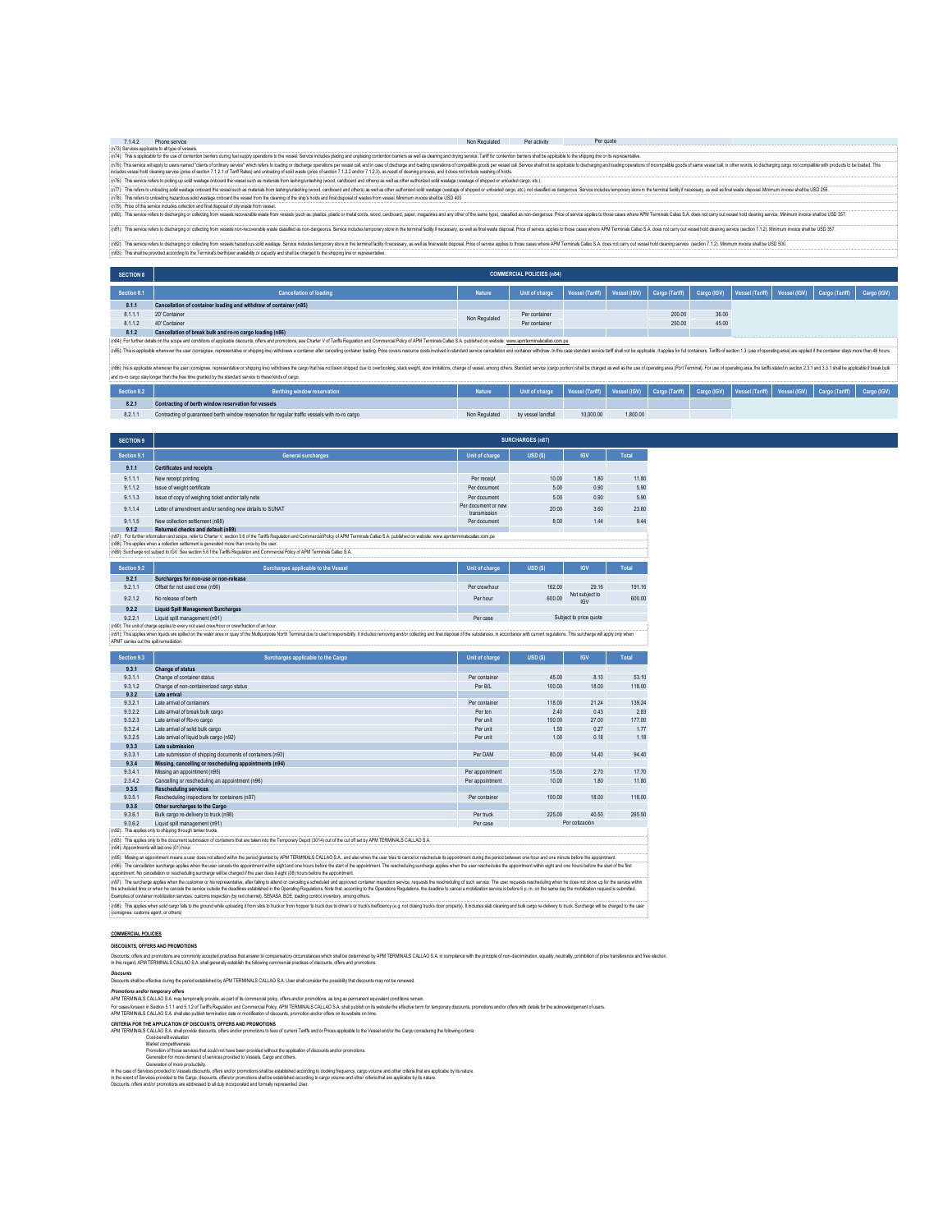| 7142 | Phone service                                                                                                                                                                                                                  | Non Regulated | Per activity | Per quote |  |  |  |  |  |  |  |
|------|--------------------------------------------------------------------------------------------------------------------------------------------------------------------------------------------------------------------------------|---------------|--------------|-----------|--|--|--|--|--|--|--|
|      | (n73) Services applicable to all type of vessels.                                                                                                                                                                              |               |              |           |  |  |  |  |  |  |  |
|      | (n74): This is applicable for the use of contention barriers during fuel supply operations to the vessel. Service includes placing and unplacing contention barriers as well as deaning and drying service. Tanff for contenti |               |              |           |  |  |  |  |  |  |  |
|      | (n75): This service will apply to users named "clents of ordnary service" which refers to bading or discharge operations per vessel call, and in case of discharge and loading operations of compatible poods per vessel call. |               |              |           |  |  |  |  |  |  |  |
|      | includes vessel hold cleaning service (price of section 7.1.2.1 of Tariff Rates) and unloading of solid waste (price of section 7.1.2.2 and/or 7.1.2.2), as result of cleaning process, and it does not include washing of hol |               |              |           |  |  |  |  |  |  |  |
|      | (n76): This service refers to picking up solid wastage onboard the vessel such as materials from lashing/unlashing (wood, cardboard and others) as well as other authorized solid wastage (wastage of shipped or unloaded carg |               |              |           |  |  |  |  |  |  |  |
|      | (n77): This refers to unloading solid wastage onboard the vessel such as materials from lashing undashing (wood, cardboard and others) as well as other authorized solid wastage (wastage of shipped or unloaded cargo, etc.)  |               |              |           |  |  |  |  |  |  |  |
|      | (n78): This refers to unloading hazardous solid wastage onboard the vessel from the cleaning of the ship's holds and final disposal of wastes from vessel. Minimum invoice shall be USD 400                                    |               |              |           |  |  |  |  |  |  |  |
|      | (n79): Price of this service includes collection and final disposal of oily waste from vessel.                                                                                                                                 |               |              |           |  |  |  |  |  |  |  |
|      | (n90): This service refers to discharging or collecting from vessels recoverable waste from vessels (such as: plastics, plastic or metal cords, wood, cargboard, paper, magazines and any other of the same type), classified  |               |              |           |  |  |  |  |  |  |  |
|      | (n81): This service refers to discharging or collecting from vessels non-cecoverable waste dassified as non-dangeorus. Service includes temporary store in the terminal facilty if necessary, as well as final waste discosal. |               |              |           |  |  |  |  |  |  |  |
|      |                                                                                                                                                                                                                                |               |              |           |  |  |  |  |  |  |  |

(r62): his ander related play to calculate the mesh handows able with a state of the mesh for the state of the mesh mesh in the mesh mesh in the mesh of the mesh in the mesh in the mesh in the mesh in the mesh in the mesh

| <b>SECTION 8</b> |                                                                                                                 |               | <b>COMMERCIAL POLICIES (n84)</b> |  |        |       |  |                                                                                                                               |  |
|------------------|-----------------------------------------------------------------------------------------------------------------|---------------|----------------------------------|--|--------|-------|--|-------------------------------------------------------------------------------------------------------------------------------|--|
| Section 8.1      | <b>Cancellation of loading</b>                                                                                  | <b>Nature</b> | Unit of charge                   |  |        |       |  | Vessel (Tariff)   Vessel (IGV)   Cargo (Tariff)   Cargo (IGV)   Vessel (Tariff)   Vessel (IGV)   Cargo (Tariff)   Cargo (IGV) |  |
| 8.1.1            | Cancellation of container loading and withdraw of container (n85)                                               |               |                                  |  |        |       |  |                                                                                                                               |  |
| 8.1.1            | 20' Container                                                                                                   | Non Regulated | Per container                    |  | 200.00 | 36.00 |  |                                                                                                                               |  |
| 8.1.12           | 40' Container                                                                                                   |               | Per container                    |  | 250.00 | 45.00 |  |                                                                                                                               |  |
|                  | the contract of the contract of the contract of the contract of the contract of the contract of the contract of |               |                                  |  |        |       |  |                                                                                                                               |  |

6.1.2 Cancellation of break bulk and ro-ro cargo bading (n86)<br>(%): I're the delabe of rocker of control of paradical security of and provide and portion of the New Yorker States of the States of the Market of the States of

.<br>(ob): his applatie where are teure (conspre, representive or shaping learning this not expo hat have been consing stat weight stow in hading, durage views among cheral among the sing complets been download be chapad as w

and ro-ro cargo stay longer than the free time granted by the standard service to these kinds of cargo.

| Section 8.2 | Berthing window reservation                                                                     |               |                    |           |          |  | Unit of charge   Vessel (Tariff)   Vessel (IGV)   Cargo (Tariff)   Cargo (IGV)   Vessel (Tariff)   Vessel (IGV)   Cargo (Tariff)   Cargo (IGV)   Cargo (IGV) |  |
|-------------|-------------------------------------------------------------------------------------------------|---------------|--------------------|-----------|----------|--|--------------------------------------------------------------------------------------------------------------------------------------------------------------|--|
| 8.2.1       | Contracting of berth window reservation for vessels                                             |               |                    |           |          |  |                                                                                                                                                              |  |
| 8.2.1.1     | Contracting of guaranteed berth window reservation for regular traffic vessels with ro-ro cargo | Non Regulated | by vessel landfall | 10,000.00 | 1,800.00 |  |                                                                                                                                                              |  |

| <b>SECTION 9</b>                       |                                                                                                                                                                                                                                |                                     | <b>SURCHARGES (n87)</b> |                              |        |
|----------------------------------------|--------------------------------------------------------------------------------------------------------------------------------------------------------------------------------------------------------------------------------|-------------------------------------|-------------------------|------------------------------|--------|
| Section 9.1                            | General surcharges                                                                                                                                                                                                             | Unit of charge                      | USD(S)                  | <b>IGV</b>                   | Total  |
| 9.1.1                                  | <b>Certificates and receipts</b>                                                                                                                                                                                               |                                     |                         |                              |        |
| 9.1.1.1                                | New receipt printing                                                                                                                                                                                                           | Per receipt                         | 10.00                   | 1.80                         | 11.80  |
| 9.1.12                                 | Issue of weight certificate                                                                                                                                                                                                    | Per document                        | 5.00                    | 0.90                         | 5.90   |
| 9.1.1.3                                | Issue of copy of weighing ticket and/or tally note                                                                                                                                                                             | Per document                        | 5.00                    | 0.90                         | 5.90   |
| 9.1.1.4                                | Letter of amendment and/or sending new details to SUNAT                                                                                                                                                                        | Per document or new<br>transmission | 20.00                   | 3.60                         | 23.60  |
| 9.1.1.5                                | New collection settlement (n88)                                                                                                                                                                                                | Per document                        | 8.00                    | 1.44                         | 9.44   |
| 9.1.2                                  | Returned checks and default (n89)                                                                                                                                                                                              |                                     |                         |                              |        |
|                                        | (n87): For further information and scope, refer to Charter V, section 5.6 of the Tariffs Regulation and Commercial Policy of APM Terminals Callao S.A. published on website: www.apmterminalscallao.com.pe                     |                                     |                         |                              |        |
|                                        | (n88): This applies when a collection settlement is generated more than once by the user.                                                                                                                                      |                                     |                         |                              |        |
|                                        | (n89): Surcharge not subject to IGV. See section 5.6 f the Tariffs Regulation and Commercial Policy of APM Terminals Callap S.A.                                                                                               |                                     |                         |                              |        |
| Section 9.2                            | Surcharges applicable to the Vessel                                                                                                                                                                                            | Unit of charge                      | USD(S)                  | <b>IGV</b>                   | Total  |
| 9.2.1                                  | Surcharges for non-use or non-release                                                                                                                                                                                          |                                     |                         |                              |        |
| 9.2.1.1                                | Offset for not used crew (n90)                                                                                                                                                                                                 | Per crew/hour                       | 162.00                  | 29.16                        | 191.16 |
| 9212                                   | No release of berth                                                                                                                                                                                                            | Per hour                            | 600.00                  | Not subject to<br><b>IGV</b> | 600.00 |
| 9.2.2                                  | <b>Liquid Spill Management Surcharges</b>                                                                                                                                                                                      |                                     |                         |                              |        |
| 9.22.1                                 | Liquid spill management (n91)                                                                                                                                                                                                  | Per case                            |                         | Subject to price quote       |        |
|                                        | (n90): The unit of charge applies to every not used crew/hour or crew/fraction of an hour.                                                                                                                                     |                                     |                         |                              |        |
| APMT carries out the soil remediation. | (n91): This applies when liquids are spilled on the water area or quay of the Multipurpose North Terminal due to user's responsibility. It includes removing and/or collecting and final disposal of the substances, in accord |                                     |                         |                              |        |

| Section 9.3 | Surcharges applicable to the Cargo                                                                                                                                   | Unit of charge  | USD(S) | <b>IGV</b><br>8 1 0<br>45.00<br>100.00<br>18.00<br>21.24<br>118.00<br>0.43<br>2.40<br>150.00<br>27.00<br>1.50<br>0.27<br>0.18<br>1.00<br>80.00<br>14.40<br>2.70<br>15.00<br>1.80<br>10.00<br>100.00<br>18.00<br>225.00<br>40.50<br>Por cotización<br>(n95): Missing an appointment means a user does not attend within the period granted by APM TERMINALS CALLAO S.A. and also when the user tries to cancel or reschedule its appointment during the period between one hour and | Total  |
|-------------|----------------------------------------------------------------------------------------------------------------------------------------------------------------------|-----------------|--------|------------------------------------------------------------------------------------------------------------------------------------------------------------------------------------------------------------------------------------------------------------------------------------------------------------------------------------------------------------------------------------------------------------------------------------------------------------------------------------|--------|
| 9.3.1       | <b>Change of status</b>                                                                                                                                              |                 |        |                                                                                                                                                                                                                                                                                                                                                                                                                                                                                    |        |
| 9311        | Change of container status                                                                                                                                           | Per container   |        |                                                                                                                                                                                                                                                                                                                                                                                                                                                                                    | 53 10  |
| 9.3.12      | Change of non-containerized cargo status                                                                                                                             | Per B/I         |        |                                                                                                                                                                                                                                                                                                                                                                                                                                                                                    | 118.00 |
| 9.3.2       | Late arrival                                                                                                                                                         |                 |        |                                                                                                                                                                                                                                                                                                                                                                                                                                                                                    |        |
| 9.32.1      | Late arrival of containers                                                                                                                                           | Per container   |        |                                                                                                                                                                                                                                                                                                                                                                                                                                                                                    | 139.24 |
| 9.322       | Late arrival of break bulk cargo                                                                                                                                     | Per ton         |        |                                                                                                                                                                                                                                                                                                                                                                                                                                                                                    | 2.83   |
| 9.3.2.3     | Late arrival of Ro-ro cargo                                                                                                                                          | Per unit        |        |                                                                                                                                                                                                                                                                                                                                                                                                                                                                                    | 177 00 |
| 9.3.2.4     | Late arrival of solid bulk cargo                                                                                                                                     | Per unit        |        |                                                                                                                                                                                                                                                                                                                                                                                                                                                                                    | 1.77   |
| 9.3.2.5     | Late arrival of liquid bulk cargo (n92)                                                                                                                              | Per unit        |        |                                                                                                                                                                                                                                                                                                                                                                                                                                                                                    | 1.18   |
| 9.3.3       | Late submission                                                                                                                                                      |                 |        |                                                                                                                                                                                                                                                                                                                                                                                                                                                                                    |        |
| 9.3.3.1     | Late submission of shipping documents of containers (n93)                                                                                                            | Per DAM         |        |                                                                                                                                                                                                                                                                                                                                                                                                                                                                                    | 94.40  |
| 9.3.4       | Missing, cancelling or rescheduling appointments (n94)                                                                                                               |                 |        |                                                                                                                                                                                                                                                                                                                                                                                                                                                                                    |        |
| 9.3.4.1     | Missing an appointment (n95)                                                                                                                                         | Per appointment |        |                                                                                                                                                                                                                                                                                                                                                                                                                                                                                    | 17.70  |
| 2.3.4.2     | Cancelling or rescheduling an appointment (n96)                                                                                                                      | Per appointment |        |                                                                                                                                                                                                                                                                                                                                                                                                                                                                                    | 11.80  |
| 9.3.5       | <b>Rescheduling services</b>                                                                                                                                         |                 |        |                                                                                                                                                                                                                                                                                                                                                                                                                                                                                    |        |
| 9.3.5.1     | Rescheduling inspections for containers (n97)                                                                                                                        | Per container   |        |                                                                                                                                                                                                                                                                                                                                                                                                                                                                                    | 118.00 |
| 9.3.6       | Other surcharges to the Cargo                                                                                                                                        |                 |        |                                                                                                                                                                                                                                                                                                                                                                                                                                                                                    |        |
| 9.3.6.1     | Bulk cargo re-delivery to truck (n98)                                                                                                                                | Per truck       |        |                                                                                                                                                                                                                                                                                                                                                                                                                                                                                    | 265.50 |
| 9362        | Liquid spill management (n91)                                                                                                                                        | Per case        |        |                                                                                                                                                                                                                                                                                                                                                                                                                                                                                    |        |
|             | (n92): This applies only to shipping through tanker trucks.                                                                                                          |                 |        |                                                                                                                                                                                                                                                                                                                                                                                                                                                                                    |        |
|             | (n93): This applies only to the document submission of containers that are taken into the Temporary Depot (3014) out of the cut off set by APM TERMINALS CALLAO S.A. |                 |        |                                                                                                                                                                                                                                                                                                                                                                                                                                                                                    |        |
|             | (n94): Appointments will last one (01) hour.                                                                                                                         |                 |        |                                                                                                                                                                                                                                                                                                                                                                                                                                                                                    |        |

(r65). Mising an appointment means aser does not attent with the period granted NATERMINALS CALIAO S.A. and also when the user thest pranod reschedule taxpointment during the period between one hour and one minute before t

(rif)". The undage goles when the understand was distinguished and applicated and applicate incomplete the studies incomplete the restable of the studies of the studies of the studies of the studies of the studies of the s

**COMMERCIAL POLICIES**

**DISCOUNTS, OFFERS AND PROMOTIONS**

Discuss, offers and promicration and provide an interaction state in comperatory circumstance which substitute the MITENINALS CALLAO S.A. in complence with the principle of non-discimination, equally, neutrally, problem on

*Discounts* Discounts shall be effective during the period established by APM TERMINALS CALLAO S.A. User shall consider the possibility that discounts may not be renewed.

Promotos and/or temporary affers y provide, as part of ta commercial policy fores and or promotions, as long as permanent equivalent conditions emain.<br>For cases transfers to the and that Regulation and Commercial Policy, M

CRITERIA POR THE APPLICATION OF DISCOUNTS, OFFERS AND PROMOTIONS<br>APIM TERMINALS CALLAO SA shall provide discounts, offers and/or promotions to fees of current Tariffs and/or floces applicable to the Vessel and/or the Cargo

- Market competitiveness<br>Promotion of those services that could not have been provided without the application of discounts and/or promotions.<br>Generation for more demand of services provided to Vessels, Cargo and others.
- 
- 

l n fie case of Services and on our poductive).<br>In the ceent of Services provided to these discounts, offers and/or promotions and be established according to<br>Discount, offers and/or promotions are addressed build diverse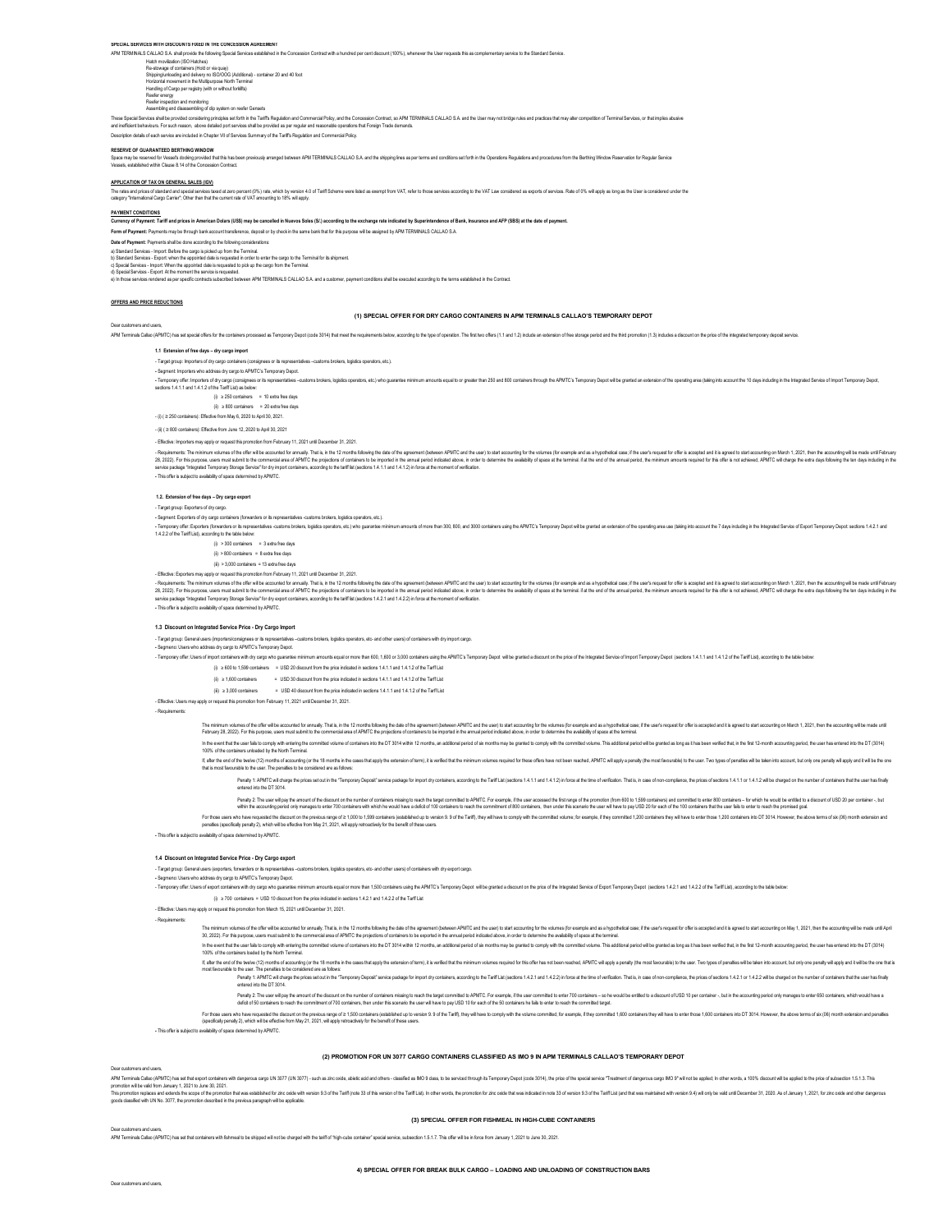**SPECIAL SERVICES WITH DISCOUNTS FIXED IN THE CONCESSION AGREEMENT**

Reefer inspection and monitoring rceeler energy<br>Reefer inspection and monitoring<br>Assembling and disassembling of clip system on reefer Gensets Habri movilization (60 Habribes)<br>Shippingulnoading and delivery roi ISO/OCG (Additional) - container 20 and 40 foot<br>Horizontal movement in the Multipurpose North Terminal<br>Hardierg of Cargo per registry (with or without for dred per cent discount (100%), whenever the User requests this as complementary service to the Stan

These Special Security of the Special Security of the Special Security of the Special and the Special Security of the Special Security ASS ARC SPECIAL AD S. And the User may not bridge rules and practics that may also comp

Description details of each service are included in Chapter VII of Services Summary of the Tariff's Regulation and Commercial Policy.

#### **RESERVE OF GUARANTEED BERTHING WINDOW**

Space may be researd to Yesets dodn'ny provided hat be had been reviously arranged between APM TERMNALS CALLAO SA and the shipping lines as per terms and conditions set (strin in the Operations Regulations and procedures f

## **APPLICATION OF TAX ON GENERAL SALES (IGV)**

The rational of states and special series tases and accopicably rate, which y version 4.0 Tarff Scheme were leted as exempt form VAT, refer to frose services according to the VAT Law considered as exports of series accordi

PAYMENT CONDITIONS.<br>Currency of Payment: Tariff and prices in American Dolars (US\$) may be cancelled in Nuevos Soles (S!.) according to the exchange rate indicated by Superintendence of Bank, Insurance and AFP (SBS) at the

**Form of Payment:** Payments may be through bank account transference, deposit or by check in the same bank that for this purpose will be assigned by APM TERMINALS CALLAO S.A.

**Date of Payment**: Payments shall be done according to the following considerations:<br>a) Standard Services - Import: Before the cargo is picked up from the Terminal.<br>b) Standard Services - Export: when the appointed date is

d) Special Services - Export: At the moment the service is requested.<br>e) In those services rendered as per specific contracts subscribed between APM TERMINALS CALLAO S.A. and a customer, payment conditions shall be execute

## **OFFERS AND PRICE REDUCTIONS**

Dear customers and users,

# **(1) SPECIAL OFFER FOR DRY CARGO CONTAINERS IN APM TERMINALS CALLAO'S TEMPORARY DEPOT**

APM Terminal Calon (APMTC) has ast special differ for the containers conserved as Terminal Value of Carolis Managether and Carolis Managether and the forth and the forth and the forth and the forth of the industrial of the

**1.1 Extension of free days – dry cargo import**

- Target group: Importers of dry cargo containers (consignees or its representatives –customs brokers, logistics operators, etc.).

**-** Segment: Importers who address dry cargo to APMTC's Temporary Depot.

- Tengany dialog (complex) and the state of the state of the state of the state of the state of the state of the state of the state of the state of the state of the state of the state of the state of the state of the state

 $(i) \geq 250$  containers = 10 extra free days

 $(i)$  ≥ 800 containers = 20 extra free day

- (i) ( ≥ 250 containers): Effective from May 6, 2020 to April 30, 2021.

- (ii) ( ≥ 800 containers): Effective from June 12, 2020 to April 30, 2021 - Effective: Importers may apply or request this promotion from February 11, 2021 until December 31, 2021.

**-** This offer is subject to availability of space determined by APMTC. -Regieners: The mimum vumes ofte dire with excuritefor analy. That is it is 21 monts looking the dist of the systement (Pethery AMTC and the series) to the substanting of the substanting and the substanting on the substant

# **1.2. Extension of free days – Dry cargo export**

- Target group: Exporters of dry cargo.

**-** Segment: Exporters of dry cargo containers (forwarders or its representatives -customs brokers, logistics operators, etc.).

 $(i)$  > 300 containers = 3 extra free days this of more than 300, 800, and 3000 containers using the APMTC's Temporary Depot will be granted an extension of the operating area use (taking into account the 7 days including in the Integrated Service of Export Tempora 1.4.2.2 of the Tariff List), according to the table below:

(ii) > 800 containers = 8 extra free days

(iii)  $> 3,000$  containers = 13 extra free days

- Effective: Exporters may apply or request this promotion from February 11, 2021 until December 31, 2021.

-Registers. The mimmunoumed the the successite amous). This instant in the month of the greater distant interest and the second of the second of the second of the second of the second of the second of the second of the sec

### **1.3 Discount on Integrated Service Price - Dry Cargo Import**

- Target group: General users (importers/onsignees or its representatives –customs brokers, logistics operators, etc. and other users) of containers with dry import cargo.<br>- Segmeno: Users with address dry cargo. Many carg

**-** Segmeno: Users who address dry cargo to APMTC's Temporary Depot.

- Temporary offer: Users of import containers with dry cargo who guarantee mínimum amounts equal or more than 600, 1,600 or 3,000 containers using the APMTC's Temporary Depot will be granted a discount on the price of the Integrated Service of Import Temporary Depot (sections 1.4.1.1 and 1.4.1.2 of the Tariff List), according to the table below:

- (i) ≥600 to 1,599 containers = USD 20 discount from the price indicated in sections 1.4.1.1 and 1.4.1.2 of the Tarff List<br>(i) ≥1,600 containers = = USD 30 discount from the price indicated in sections 1.4.1.1 and 1.4.1.2 o
- 

- Effective: Users may apply or request this promotion from February 11, 2021 until December 31, 2021.

- Requirements:

The minum vulmes ofte all the accuse to much that in the Chandelburg the date of a greener (based and the card be advocuting the version of the ample of the ample of the state in the second of the scount of the state in th

in the enthat the sound of the market of the commed volme of contines inb the DT 3014 whin 12 monts, an additenal period tisk months may be granted to comply with the commited volume. This additional productional practice

it, alter be only the heliother decounting (or the most of the cases that apple be notation of tem it is verified talt the minium volumes required to frees offers have not been readed, APMTC wild pay a persently to person

Penalt Market Profess and in the Tempory Depost service parage for mont dy containes, according to the Tail List (sections 1.4.1.1 and 1.4.1.2) in force at the fire of whildrain. That is, in case of non-complence, the pric

Peak 2: he use will perform a monother allow the multer of content on the layer content be MIC. For example, the user sceed the lange of the monother (memperature in the monother of the monother of the monother of the mono

For town be made the docution the previous rape of > 100 to 1599 canning restabled up to write for Faff), they with the complet visits for the complet shares for promited 1200 contains they will are benefit of 200 contains

**-** This offer is subject to availability of space determined by APMTC.

# **1.4 Discount on Integrated Service Price - Dry Cargo export**

- Target group: General users (exporters, forwarders or its representatives –customs brokers, logistics operators, etc- and other users) of containers with dry export cargo.

(i) ≥ 700 containers = USD 10 discount from the price indicated in sections 1.4.2.1 and 1.4.2.2 of the Tarff List - Separa User Maximus in y ang a Mill'S i Fernomy Dept.<br>- Tempory offer Uses of export contents who distributed mimum amounts equal or more ban 1,500 contents using the MIT'S Tempory Dept. with a grands alsoout on the prio

- Effective: Users may apply or request this promotion from March 15, 2021 until December 31, 2021.

- Requirements:

The minum when a fit of the state of the information in the Chands blue to the date of the spenent (behealth of the state of the variable of the state of the state of the state of the state of the state of the state of the in the enthat the sound with entring be commed vulme of contines inb the DT 3014 whin 12 monts, an additional period of six months may be granted to comply with the commited vulme. This additional productional practice is

If, after the end of the twelve (12) months of accounting (or the 18 months in the cases that apply the extension of term), it is verified that the minimum volumes required for this offer has not been reached, APMTC will apply a penalty (the most favourable) to the user. Two types of penalties will be taken into account, but only one penalty will apply and it will be the one that is most favourable to the user. The penalties to be considered are as follows: Penalty 1: APMTC will charge the prices set out in the "Temporary Deposit" service package for import dry containers, according to the Tariff List (sections 1.4.2.1 and 1.4.2.2) in force at the time of verification. That is, in case of non-compliance, the prices of sections 1.4.2.1 or 1.4.2.2 will be charged on the number of containers that the user has finally entered into the DT 3014.

**-** This offer is subject to availability of space determined by APMTC. For books are howered to be about on the previous range of > 1,500 combles (establed up to the Taff), they will the to compy wth the volume commited, for example, if they contained 1,500 containers they at how to enter foo

**(2) PROMOTION FOR UN 3077 CARGO CONTAINERS CLASSIFIED AS IMO 9 IN APM TERMINALS CALLAO'S TEMPORARY DEPOT**

# ers and users

/Microsofted (MIC) as still export of the main state with discussions and the security of the state of the state of the state of the state of the state of the state of the state of the state of the state of the state of th

## **(3) SPECIAL OFFER FOR FISHMEAL IN HIGH-CUBE CONTAINERS**

---<br>APM Terminals Callao (APMTC) has set that containers with fishmeal to be shipped will not be charged with the tariff of "high-cube container" special service, subsection 1.5.1.7. This offer will be in force from Januar

Dear customers and users,

Peable as we have not all the discussion to meet of containers many to easily teach the tast of the Chrick. For examented the entropy and the christene and the entropy of the christmas and the christmas and the christmas a